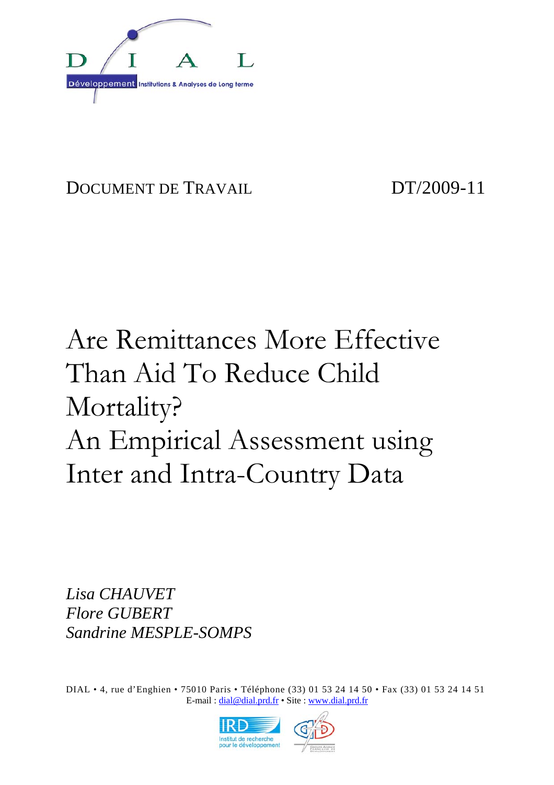

DOCUMENT DE TRAVAIL DT/2009-11

# Are Remittances More Effective Than Aid To Reduce Child Mortality? An Empirical Assessment using Inter and Intra-Country Data

*Lisa CHAUVET Flore GUBERT Sandrine MESPLE-SOMPS* 

DIAL • 4, rue d'Enghien • 75010 Paris • Téléphone (33) 01 53 24 14 50 • Fax (33) 01 53 24 14 51 E-mail : dial@dial.prd.fr • Site : www.dial.prd.fr

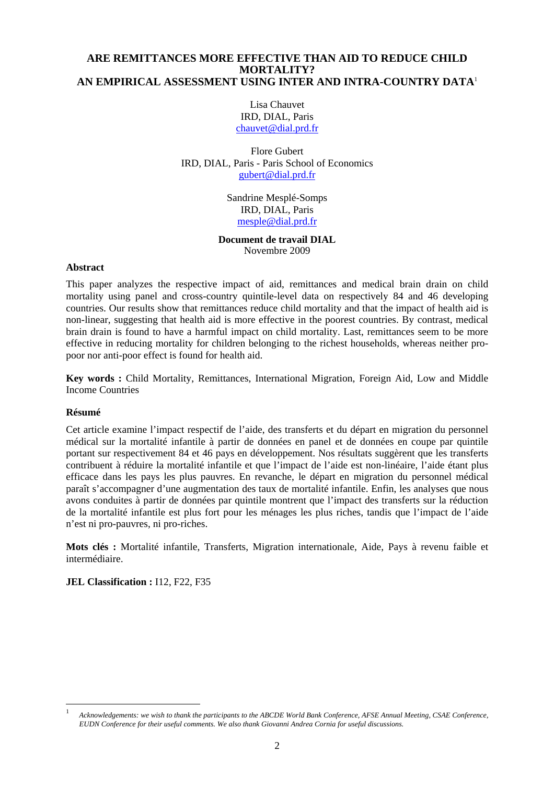#### **ARE REMITTANCES MORE EFFECTIVE THAN AID TO REDUCE CHILD MORTALITY? AN EMPIRICAL ASSESSMENT USING INTER AND INTRA-COUNTRY DATA**<sup>1</sup>

Lisa Chauvet IRD, DIAL, Paris chauvet@dial.prd.fr

Flore Gubert IRD, DIAL, Paris - Paris School of Economics gubert@dial.prd.fr

> Sandrine Mesplé-Somps IRD, DIAL, Paris mesple@dial.prd.fr

#### **Document de travail DIAL**  Novembre 2009

#### **Abstract**

This paper analyzes the respective impact of aid, remittances and medical brain drain on child mortality using panel and cross-country quintile-level data on respectively 84 and 46 developing countries. Our results show that remittances reduce child mortality and that the impact of health aid is non-linear, suggesting that health aid is more effective in the poorest countries. By contrast, medical brain drain is found to have a harmful impact on child mortality. Last, remittances seem to be more effective in reducing mortality for children belonging to the richest households, whereas neither propoor nor anti-poor effect is found for health aid.

**Key words :** Child Mortality, Remittances, International Migration, Foreign Aid, Low and Middle Income Countries

#### **Résumé**

l

Cet article examine l'impact respectif de l'aide, des transferts et du départ en migration du personnel médical sur la mortalité infantile à partir de données en panel et de données en coupe par quintile portant sur respectivement 84 et 46 pays en développement. Nos résultats suggèrent que les transferts contribuent à réduire la mortalité infantile et que l'impact de l'aide est non-linéaire, l'aide étant plus efficace dans les pays les plus pauvres. En revanche, le départ en migration du personnel médical paraît s'accompagner d'une augmentation des taux de mortalité infantile. Enfin, les analyses que nous avons conduites à partir de données par quintile montrent que l'impact des transferts sur la réduction de la mortalité infantile est plus fort pour les ménages les plus riches, tandis que l'impact de l'aide n'est ni pro-pauvres, ni pro-riches.

**Mots clés :** Mortalité infantile, Transferts, Migration internationale, Aide, Pays à revenu faible et intermédiaire.

**JEL Classification : 112, F22, F35** 

<sup>1</sup> *Acknowledgements: we wish to thank the participants to the ABCDE World Bank Conference, AFSE Annual Meeting, CSAE Conference, EUDN Conference for their useful comments. We also thank Giovanni Andrea Cornia for useful discussions.*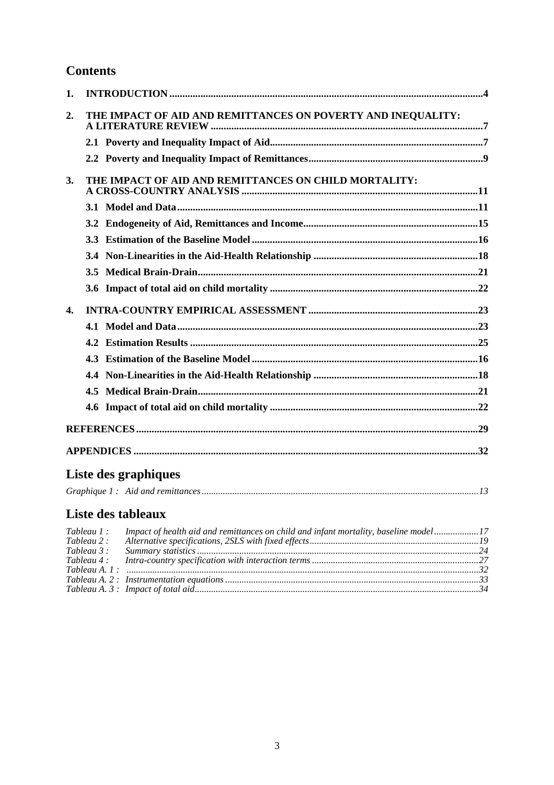### **Contents**

| 1. |                                                              |  |
|----|--------------------------------------------------------------|--|
| 2. | THE IMPACT OF AID AND REMITTANCES ON POVERTY AND INEQUALITY: |  |
|    |                                                              |  |
|    |                                                              |  |
| 3. | THE IMPACT OF AID AND REMITTANCES ON CHILD MORTALITY:        |  |
|    |                                                              |  |
|    | 3.2                                                          |  |
|    |                                                              |  |
|    | 3.4                                                          |  |
|    | $3.5^{\circ}$                                                |  |
|    | $3.6^{\circ}$                                                |  |
| 4. |                                                              |  |
|    |                                                              |  |
|    |                                                              |  |
|    | 4.3                                                          |  |
|    | 4.4                                                          |  |
|    |                                                              |  |
|    |                                                              |  |
|    |                                                              |  |
|    |                                                              |  |

## Liste des graphiques

|--|--|--|--|

## Liste des tableaux

| Tableau 1 : | Impact of health aid and remittances on child and infant mortality, baseline model17 |  |
|-------------|--------------------------------------------------------------------------------------|--|
| Tableau 2 : |                                                                                      |  |
| Tableau 3 : |                                                                                      |  |
|             |                                                                                      |  |
|             | Tableau A. 1: $\ldots$ $32$                                                          |  |
|             |                                                                                      |  |
|             |                                                                                      |  |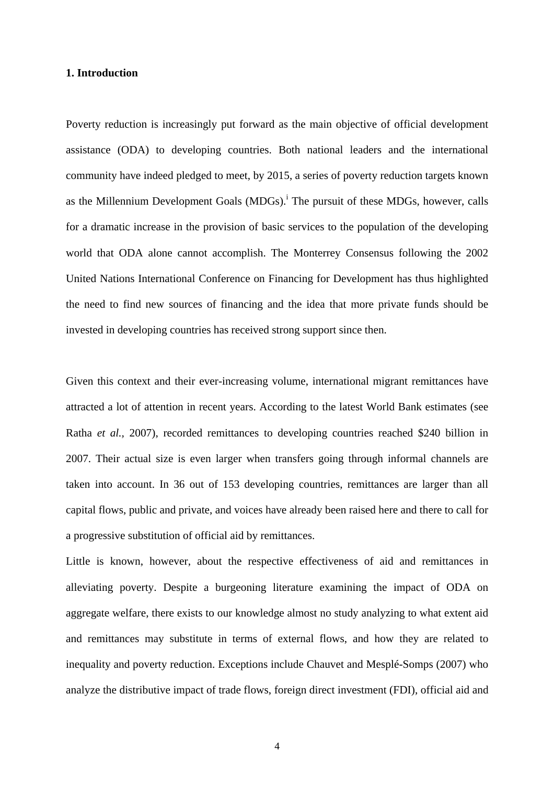#### **1. Introduction**

Poverty reduction is increasingly put forward as the main objective of official development assistance (ODA) to developing countries. Both national leaders and the international community have indeed pledged to meet, by 2015, a series of poverty reduction targets known as the Millennium Development Goals  $(MDGs)$ <sup>i</sup>. The pursuit of these MDGs, however, calls for a dramatic increase in the provision of basic services to the population of the developing world that ODA alone cannot accomplish. The Monterrey Consensus following the 2002 United Nations International Conference on Financing for Development has thus highlighted the need to find new sources of financing and the idea that more private funds should be invested in developing countries has received strong support since then.

Given this context and their ever-increasing volume, international migrant remittances have attracted a lot of attention in recent years. According to the latest World Bank estimates (see Ratha *et al.,* 2007), recorded remittances to developing countries reached \$240 billion in 2007. Their actual size is even larger when transfers going through informal channels are taken into account. In 36 out of 153 developing countries, remittances are larger than all capital flows, public and private, and voices have already been raised here and there to call for a progressive substitution of official aid by remittances.

Little is known, however, about the respective effectiveness of aid and remittances in alleviating poverty. Despite a burgeoning literature examining the impact of ODA on aggregate welfare, there exists to our knowledge almost no study analyzing to what extent aid and remittances may substitute in terms of external flows, and how they are related to inequality and poverty reduction. Exceptions include Chauvet and Mesplé-Somps (2007) who analyze the distributive impact of trade flows, foreign direct investment (FDI), official aid and

4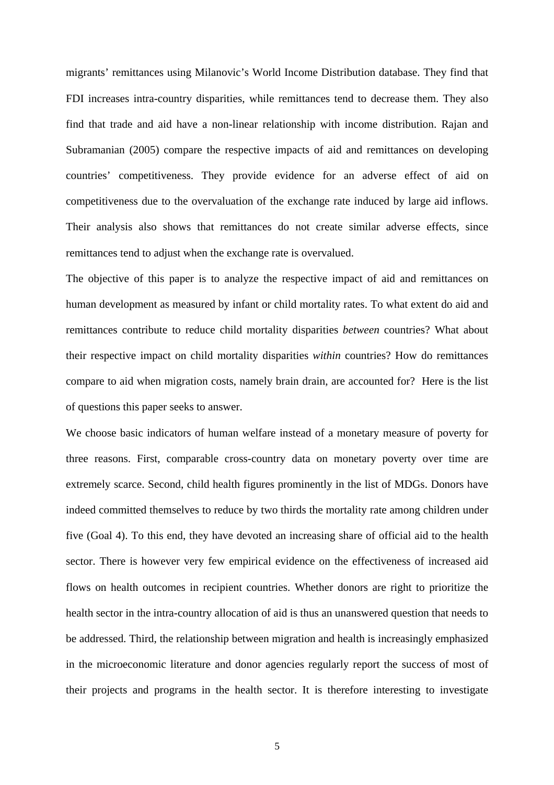migrants' remittances using Milanovic's World Income Distribution database. They find that FDI increases intra-country disparities, while remittances tend to decrease them. They also find that trade and aid have a non-linear relationship with income distribution. Rajan and Subramanian (2005) compare the respective impacts of aid and remittances on developing countries' competitiveness. They provide evidence for an adverse effect of aid on competitiveness due to the overvaluation of the exchange rate induced by large aid inflows. Their analysis also shows that remittances do not create similar adverse effects, since remittances tend to adjust when the exchange rate is overvalued.

The objective of this paper is to analyze the respective impact of aid and remittances on human development as measured by infant or child mortality rates. To what extent do aid and remittances contribute to reduce child mortality disparities *between* countries? What about their respective impact on child mortality disparities *within* countries? How do remittances compare to aid when migration costs, namely brain drain, are accounted for? Here is the list of questions this paper seeks to answer.

We choose basic indicators of human welfare instead of a monetary measure of poverty for three reasons. First, comparable cross-country data on monetary poverty over time are extremely scarce. Second, child health figures prominently in the list of MDGs. Donors have indeed committed themselves to reduce by two thirds the mortality rate among children under five (Goal 4). To this end, they have devoted an increasing share of official aid to the health sector. There is however very few empirical evidence on the effectiveness of increased aid flows on health outcomes in recipient countries. Whether donors are right to prioritize the health sector in the intra-country allocation of aid is thus an unanswered question that needs to be addressed. Third, the relationship between migration and health is increasingly emphasized in the microeconomic literature and donor agencies regularly report the success of most of their projects and programs in the health sector. It is therefore interesting to investigate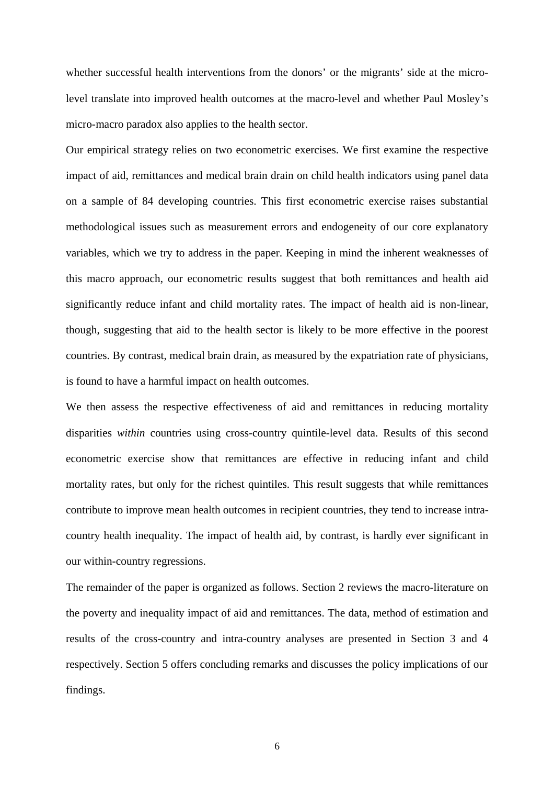whether successful health interventions from the donors' or the migrants' side at the microlevel translate into improved health outcomes at the macro-level and whether Paul Mosley's micro-macro paradox also applies to the health sector.

Our empirical strategy relies on two econometric exercises. We first examine the respective impact of aid, remittances and medical brain drain on child health indicators using panel data on a sample of 84 developing countries. This first econometric exercise raises substantial methodological issues such as measurement errors and endogeneity of our core explanatory variables, which we try to address in the paper. Keeping in mind the inherent weaknesses of this macro approach, our econometric results suggest that both remittances and health aid significantly reduce infant and child mortality rates. The impact of health aid is non-linear, though, suggesting that aid to the health sector is likely to be more effective in the poorest countries. By contrast, medical brain drain, as measured by the expatriation rate of physicians, is found to have a harmful impact on health outcomes.

We then assess the respective effectiveness of aid and remittances in reducing mortality disparities *within* countries using cross-country quintile-level data. Results of this second econometric exercise show that remittances are effective in reducing infant and child mortality rates, but only for the richest quintiles. This result suggests that while remittances contribute to improve mean health outcomes in recipient countries, they tend to increase intracountry health inequality. The impact of health aid, by contrast, is hardly ever significant in our within-country regressions.

The remainder of the paper is organized as follows. Section 2 reviews the macro-literature on the poverty and inequality impact of aid and remittances. The data, method of estimation and results of the cross-country and intra-country analyses are presented in Section 3 and 4 respectively. Section 5 offers concluding remarks and discusses the policy implications of our findings.

6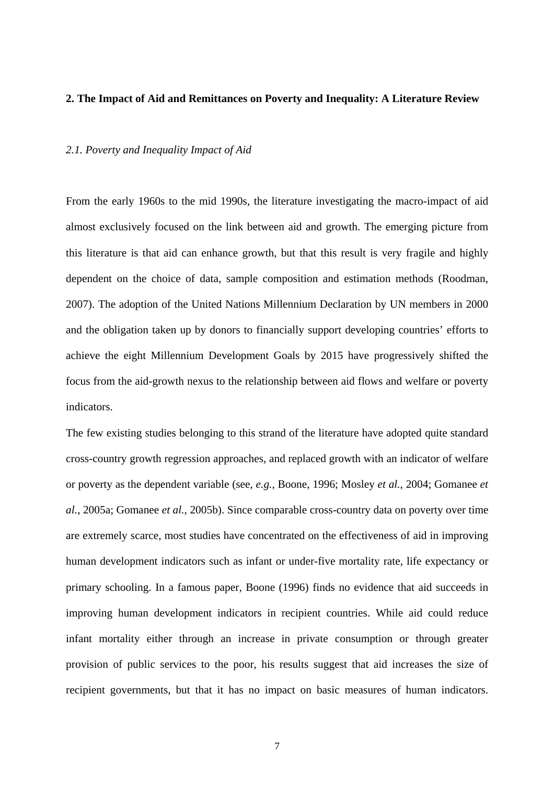#### **2. The Impact of Aid and Remittances on Poverty and Inequality: A Literature Review**

#### *2.1. Poverty and Inequality Impact of Aid*

From the early 1960s to the mid 1990s, the literature investigating the macro-impact of aid almost exclusively focused on the link between aid and growth. The emerging picture from this literature is that aid can enhance growth, but that this result is very fragile and highly dependent on the choice of data, sample composition and estimation methods (Roodman, 2007). The adoption of the United Nations Millennium Declaration by UN members in 2000 and the obligation taken up by donors to financially support developing countries' efforts to achieve the eight Millennium Development Goals by 2015 have progressively shifted the focus from the aid-growth nexus to the relationship between aid flows and welfare or poverty indicators.

The few existing studies belonging to this strand of the literature have adopted quite standard cross-country growth regression approaches, and replaced growth with an indicator of welfare or poverty as the dependent variable (see, *e.g.*, Boone, 1996; Mosley *et al.*, 2004; Gomanee *et al.*, 2005a; Gomanee *et al.*, 2005b). Since comparable cross-country data on poverty over time are extremely scarce, most studies have concentrated on the effectiveness of aid in improving human development indicators such as infant or under-five mortality rate, life expectancy or primary schooling. In a famous paper, Boone (1996) finds no evidence that aid succeeds in improving human development indicators in recipient countries. While aid could reduce infant mortality either through an increase in private consumption or through greater provision of public services to the poor, his results suggest that aid increases the size of recipient governments, but that it has no impact on basic measures of human indicators.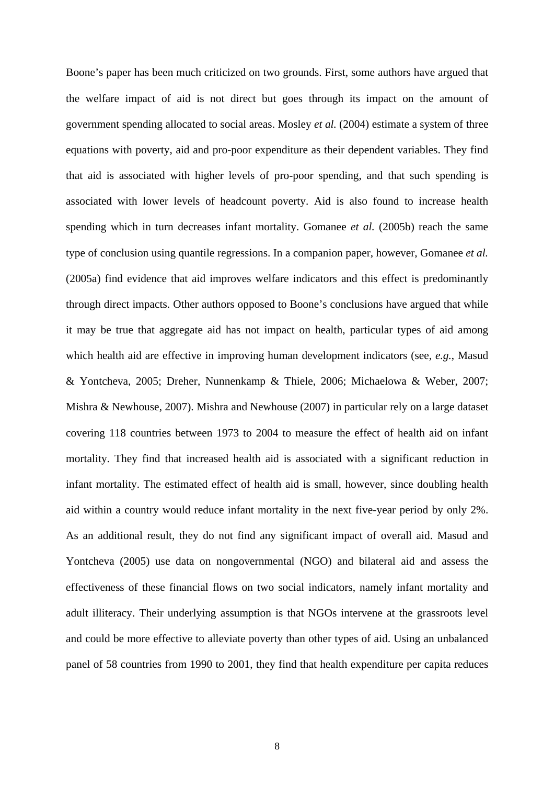Boone's paper has been much criticized on two grounds. First, some authors have argued that the welfare impact of aid is not direct but goes through its impact on the amount of government spending allocated to social areas. Mosley *et al.* (2004) estimate a system of three equations with poverty, aid and pro-poor expenditure as their dependent variables. They find that aid is associated with higher levels of pro-poor spending, and that such spending is associated with lower levels of headcount poverty. Aid is also found to increase health spending which in turn decreases infant mortality. Gomanee *et al.* (2005b) reach the same type of conclusion using quantile regressions. In a companion paper, however, Gomanee *et al.*  (2005a) find evidence that aid improves welfare indicators and this effect is predominantly through direct impacts. Other authors opposed to Boone's conclusions have argued that while it may be true that aggregate aid has not impact on health, particular types of aid among which health aid are effective in improving human development indicators (see, *e.g.*, Masud & Yontcheva, 2005; Dreher, Nunnenkamp & Thiele, 2006; Michaelowa & Weber, 2007; Mishra & Newhouse, 2007). Mishra and Newhouse (2007) in particular rely on a large dataset covering 118 countries between 1973 to 2004 to measure the effect of health aid on infant mortality. They find that increased health aid is associated with a significant reduction in infant mortality. The estimated effect of health aid is small, however, since doubling health aid within a country would reduce infant mortality in the next five-year period by only 2%. As an additional result, they do not find any significant impact of overall aid. Masud and Yontcheva (2005) use data on nongovernmental (NGO) and bilateral aid and assess the effectiveness of these financial flows on two social indicators, namely infant mortality and adult illiteracy. Their underlying assumption is that NGOs intervene at the grassroots level and could be more effective to alleviate poverty than other types of aid. Using an unbalanced panel of 58 countries from 1990 to 2001, they find that health expenditure per capita reduces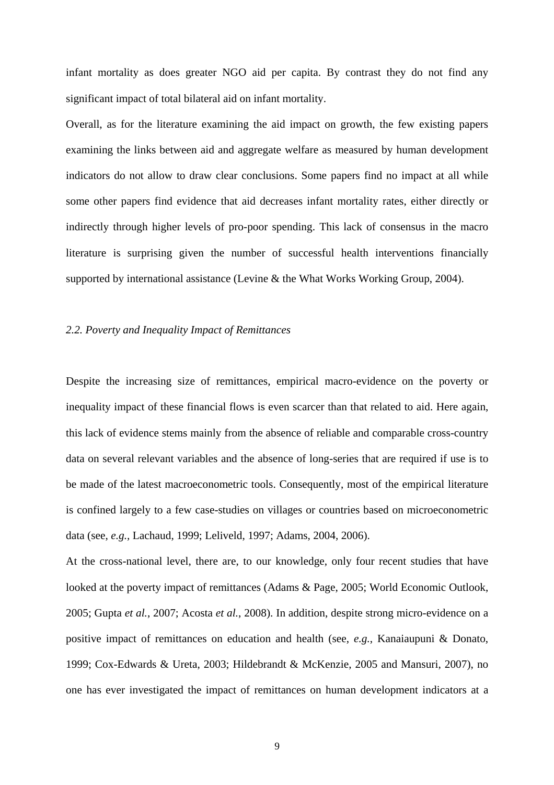infant mortality as does greater NGO aid per capita. By contrast they do not find any significant impact of total bilateral aid on infant mortality.

Overall, as for the literature examining the aid impact on growth, the few existing papers examining the links between aid and aggregate welfare as measured by human development indicators do not allow to draw clear conclusions. Some papers find no impact at all while some other papers find evidence that aid decreases infant mortality rates, either directly or indirectly through higher levels of pro-poor spending. This lack of consensus in the macro literature is surprising given the number of successful health interventions financially supported by international assistance (Levine & the What Works Working Group, 2004).

#### *2.2. Poverty and Inequality Impact of Remittances*

Despite the increasing size of remittances, empirical macro-evidence on the poverty or inequality impact of these financial flows is even scarcer than that related to aid. Here again, this lack of evidence stems mainly from the absence of reliable and comparable cross-country data on several relevant variables and the absence of long-series that are required if use is to be made of the latest macroeconometric tools. Consequently, most of the empirical literature is confined largely to a few case-studies on villages or countries based on microeconometric data (see, *e.g.,* Lachaud, 1999; Leliveld, 1997; Adams, 2004, 2006).

At the cross-national level, there are, to our knowledge, only four recent studies that have looked at the poverty impact of remittances (Adams & Page, 2005; World Economic Outlook, 2005; Gupta *et al.*, 2007; Acosta *et al.*, 2008). In addition, despite strong micro-evidence on a positive impact of remittances on education and health (see, *e.g.*, Kanaiaupuni & Donato, 1999; Cox-Edwards & Ureta, 2003; Hildebrandt & McKenzie, 2005 and Mansuri, 2007), no one has ever investigated the impact of remittances on human development indicators at a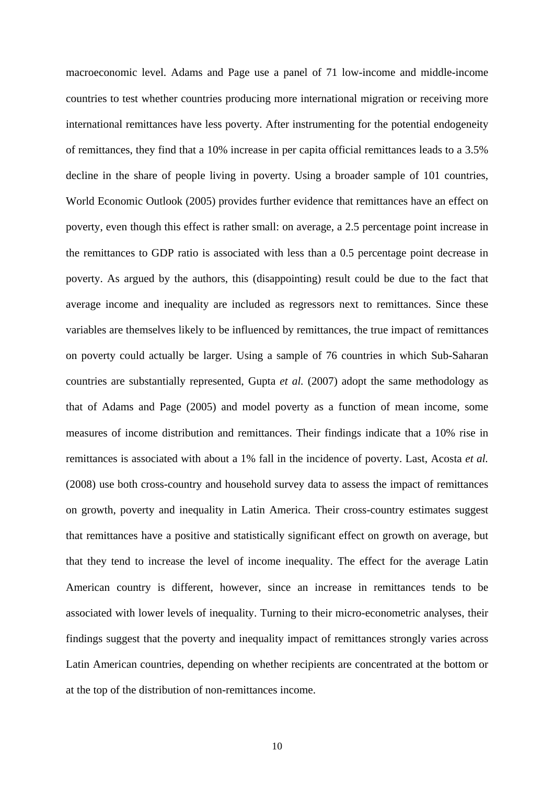macroeconomic level. Adams and Page use a panel of 71 low-income and middle-income countries to test whether countries producing more international migration or receiving more international remittances have less poverty. After instrumenting for the potential endogeneity of remittances, they find that a 10% increase in per capita official remittances leads to a 3.5% decline in the share of people living in poverty. Using a broader sample of 101 countries, World Economic Outlook (2005) provides further evidence that remittances have an effect on poverty, even though this effect is rather small: on average, a 2.5 percentage point increase in the remittances to GDP ratio is associated with less than a 0.5 percentage point decrease in poverty. As argued by the authors, this (disappointing) result could be due to the fact that average income and inequality are included as regressors next to remittances. Since these variables are themselves likely to be influenced by remittances, the true impact of remittances on poverty could actually be larger. Using a sample of 76 countries in which Sub-Saharan countries are substantially represented, Gupta *et al.* (2007) adopt the same methodology as that of Adams and Page (2005) and model poverty as a function of mean income, some measures of income distribution and remittances. Their findings indicate that a 10% rise in remittances is associated with about a 1% fall in the incidence of poverty. Last, Acosta *et al.*  (2008) use both cross-country and household survey data to assess the impact of remittances on growth, poverty and inequality in Latin America. Their cross-country estimates suggest that remittances have a positive and statistically significant effect on growth on average, but that they tend to increase the level of income inequality. The effect for the average Latin American country is different, however, since an increase in remittances tends to be associated with lower levels of inequality. Turning to their micro-econometric analyses, their findings suggest that the poverty and inequality impact of remittances strongly varies across Latin American countries, depending on whether recipients are concentrated at the bottom or at the top of the distribution of non-remittances income.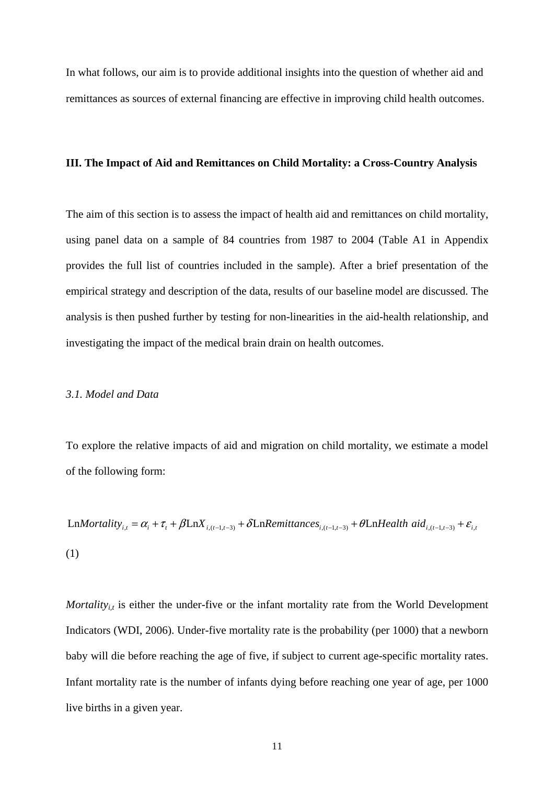In what follows, our aim is to provide additional insights into the question of whether aid and remittances as sources of external financing are effective in improving child health outcomes.

#### **III. The Impact of Aid and Remittances on Child Mortality: a Cross-Country Analysis**

The aim of this section is to assess the impact of health aid and remittances on child mortality, using panel data on a sample of 84 countries from 1987 to 2004 (Table A1 in Appendix provides the full list of countries included in the sample). After a brief presentation of the empirical strategy and description of the data, results of our baseline model are discussed. The analysis is then pushed further by testing for non-linearities in the aid-health relationship, and investigating the impact of the medical brain drain on health outcomes.

#### *3.1. Model and Data*

To explore the relative impacts of aid and migration on child mortality, we estimate a model of the following form:

LnMortality<sub>i,t</sub> =  $\alpha_i + \tau_i + \beta \text{Ln}X_{i,(t-1,t-3)} + \delta \text{Ln}Remittances_{i,(t-1,t-3)} + \theta \text{Ln}Health aid_{i,(t-1,t-3)} + \varepsilon_{i,t}$ (1)

*Mortality<sub>i,t</sub>* is either the under-five or the infant mortality rate from the World Development Indicators (WDI, 2006). Under-five mortality rate is the probability (per 1000) that a newborn baby will die before reaching the age of five, if subject to current age-specific mortality rates. Infant mortality rate is the number of infants dying before reaching one year of age, per 1000 live births in a given year.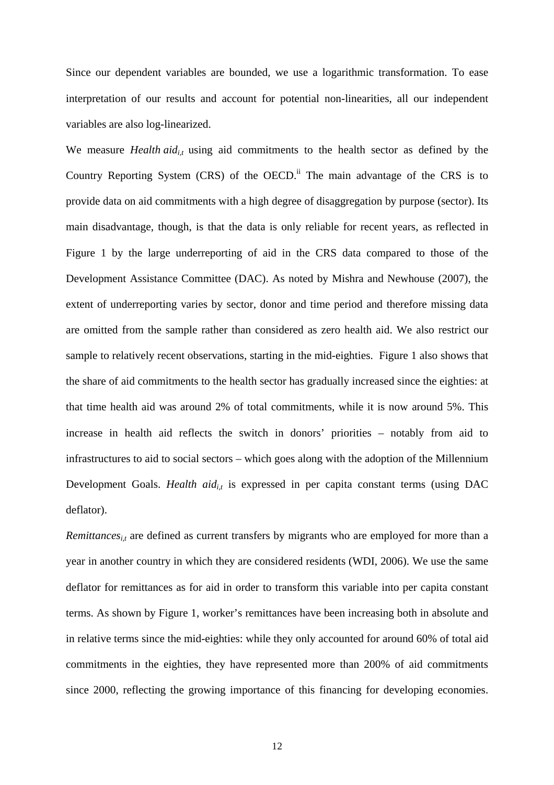Since our dependent variables are bounded, we use a logarithmic transformation. To ease interpretation of our results and account for potential non-linearities, all our independent variables are also log-linearized.

We measure *Health aid<sub>i,t</sub>* using aid commitments to the health sector as defined by the Country Reporting System  $(CRS)$  of the OECD.<sup>ii</sup> The main advantage of the CRS is to provide data on aid commitments with a high degree of disaggregation by purpose (sector). Its main disadvantage, though, is that the data is only reliable for recent years, as reflected in Figure 1 by the large underreporting of aid in the CRS data compared to those of the Development Assistance Committee (DAC). As noted by Mishra and Newhouse (2007), the extent of underreporting varies by sector, donor and time period and therefore missing data are omitted from the sample rather than considered as zero health aid. We also restrict our sample to relatively recent observations, starting in the mid-eighties. Figure 1 also shows that the share of aid commitments to the health sector has gradually increased since the eighties: at that time health aid was around 2% of total commitments, while it is now around 5%. This increase in health aid reflects the switch in donors' priorities – notably from aid to infrastructures to aid to social sectors – which goes along with the adoption of the Millennium Development Goals. *Health aid<sub>it</sub>* is expressed in per capita constant terms (using DAC deflator).

*Remittances<sub>i,t</sub>* are defined as current transfers by migrants who are employed for more than a year in another country in which they are considered residents (WDI, 2006). We use the same deflator for remittances as for aid in order to transform this variable into per capita constant terms. As shown by Figure 1, worker's remittances have been increasing both in absolute and in relative terms since the mid-eighties: while they only accounted for around 60% of total aid commitments in the eighties, they have represented more than 200% of aid commitments since 2000, reflecting the growing importance of this financing for developing economies.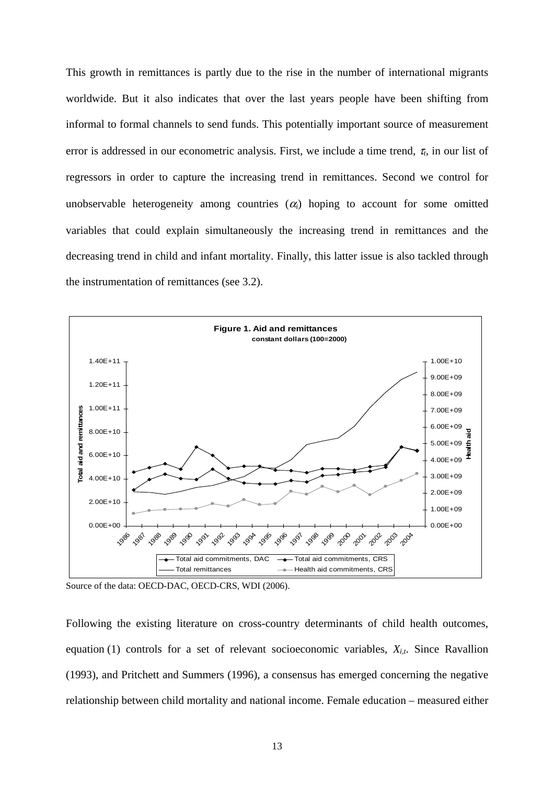This growth in remittances is partly due to the rise in the number of international migrants worldwide. But it also indicates that over the last years people have been shifting from informal to formal channels to send funds. This potentially important source of measurement error is addressed in our econometric analysis. First, we include a time trend,  $\tau_t$ , in our list of regressors in order to capture the increasing trend in remittances. Second we control for unobservable heterogeneity among countries  $(\alpha_i)$  hoping to account for some omitted variables that could explain simultaneously the increasing trend in remittances and the decreasing trend in child and infant mortality. Finally, this latter issue is also tackled through the instrumentation of remittances (see 3.2).



Source of the data: OECD-DAC, OECD-CRS, WDI (2006).

Following the existing literature on cross-country determinants of child health outcomes, equation (1) controls for a set of relevant socioeconomic variables,  $X_{i,t}$ . Since Ravallion (1993), and Pritchett and Summers (1996), a consensus has emerged concerning the negative relationship between child mortality and national income. Female education – measured either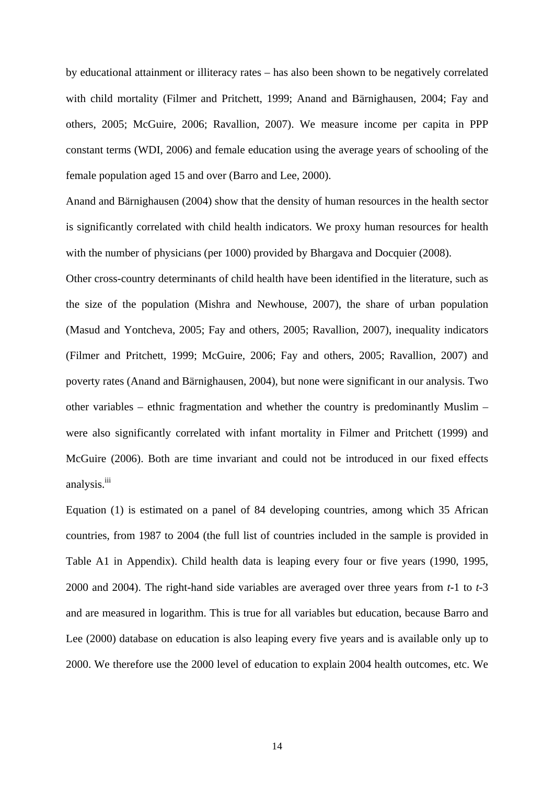by educational attainment or illiteracy rates – has also been shown to be negatively correlated with child mortality (Filmer and Pritchett, 1999; Anand and Bärnighausen, 2004; Fay and others, 2005; McGuire, 2006; Ravallion, 2007). We measure income per capita in PPP constant terms (WDI, 2006) and female education using the average years of schooling of the female population aged 15 and over (Barro and Lee, 2000).

Anand and Bärnighausen (2004) show that the density of human resources in the health sector is significantly correlated with child health indicators. We proxy human resources for health with the number of physicians (per 1000) provided by Bhargava and Docquier (2008).

Other cross-country determinants of child health have been identified in the literature, such as the size of the population (Mishra and Newhouse, 2007), the share of urban population (Masud and Yontcheva, 2005; Fay and others, 2005; Ravallion, 2007), inequality indicators (Filmer and Pritchett, 1999; McGuire, 2006; Fay and others, 2005; Ravallion, 2007) and poverty rates (Anand and Bärnighausen, 2004), but none were significant in our analysis. Two other variables – ethnic fragmentation and whether the country is predominantly Muslim – were also significantly correlated with infant mortality in Filmer and Pritchett (1999) and McGuire (2006). Both are time invariant and could not be introduced in our fixed effects analysis.<sup>iii</sup>

Equation (1) is estimated on a panel of 84 developing countries, among which 35 African countries, from 1987 to 2004 (the full list of countries included in the sample is provided in Table A1 in Appendix). Child health data is leaping every four or five years (1990, 1995, 2000 and 2004). The right-hand side variables are averaged over three years from *t*-1 to *t*-3 and are measured in logarithm. This is true for all variables but education, because Barro and Lee (2000) database on education is also leaping every five years and is available only up to 2000. We therefore use the 2000 level of education to explain 2004 health outcomes, etc. We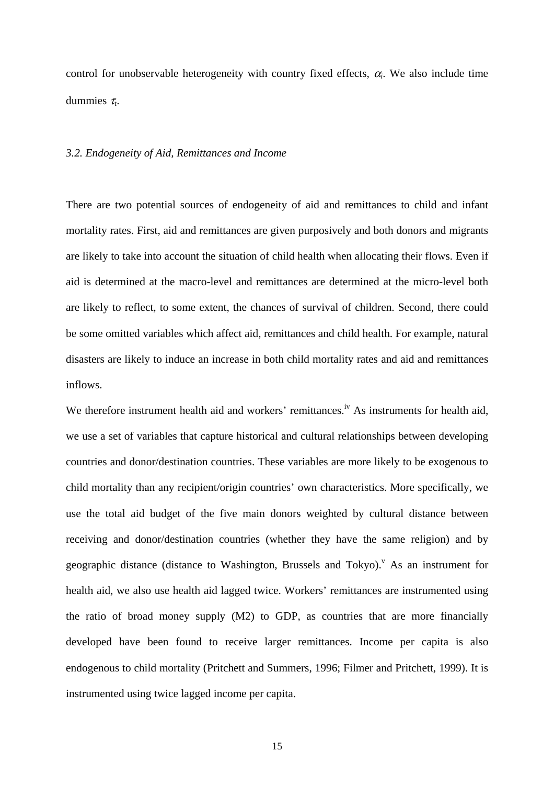control for unobservable heterogeneity with country fixed effects,  $\alpha_i$ . We also include time dummies <sup>τ</sup>*t*.

#### *3.2. Endogeneity of Aid, Remittances and Income*

There are two potential sources of endogeneity of aid and remittances to child and infant mortality rates. First, aid and remittances are given purposively and both donors and migrants are likely to take into account the situation of child health when allocating their flows. Even if aid is determined at the macro-level and remittances are determined at the micro-level both are likely to reflect, to some extent, the chances of survival of children. Second, there could be some omitted variables which affect aid, remittances and child health. For example, natural disasters are likely to induce an increase in both child mortality rates and aid and remittances inflows.

We therefore instrument health aid and workers' remittances.<sup>iv</sup> As instruments for health aid, we use a set of variables that capture historical and cultural relationships between developing countries and donor/destination countries. These variables are more likely to be exogenous to child mortality than any recipient/origin countries' own characteristics. More specifically, we use the total aid budget of the five main donors weighted by cultural distance between receiving and donor/destination countries (whether they have the same religion) and by geographic distance (distance to Washington, Brussels and Tokyo).<sup> $V$ </sup> As an instrument for health aid, we also use health aid lagged twice. Workers' remittances are instrumented using the ratio of broad money supply (M2) to GDP, as countries that are more financially developed have been found to receive larger remittances. Income per capita is also endogenous to child mortality (Pritchett and Summers, 1996; Filmer and Pritchett, 1999). It is instrumented using twice lagged income per capita.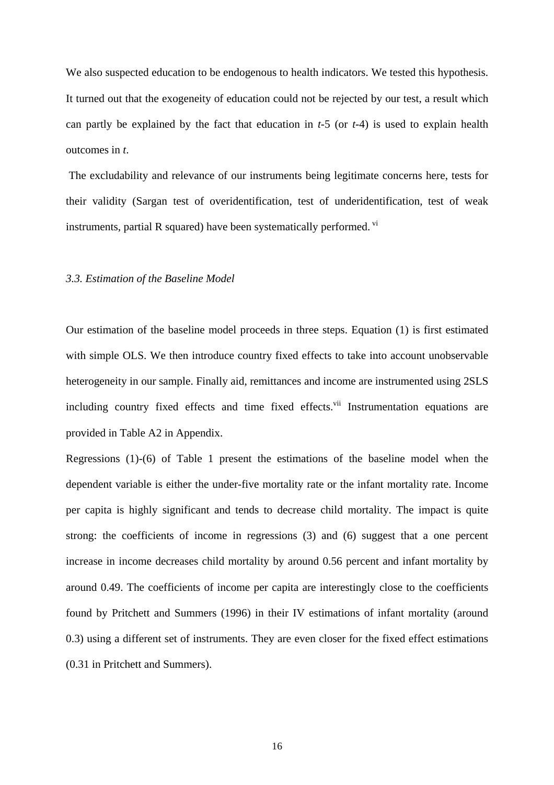We also suspected education to be endogenous to health indicators. We tested this hypothesis. It turned out that the exogeneity of education could not be rejected by our test, a result which can partly be explained by the fact that education in *t*-5 (or *t*-4) is used to explain health outcomes in *t*.

 The excludability and relevance of our instruments being legitimate concerns here, tests for their validity (Sargan test of overidentification, test of underidentification, test of weak instruments, partial R squared) have been systematically performed.  $\overline{v}$ 

#### *3.3. Estimation of the Baseline Model*

Our estimation of the baseline model proceeds in three steps. Equation (1) is first estimated with simple OLS. We then introduce country fixed effects to take into account unobservable heterogeneity in our sample. Finally aid, remittances and income are instrumented using 2SLS including country fixed effects and time fixed effects.<sup>vii</sup> Instrumentation equations are provided in Table A2 in Appendix.

Regressions (1)-(6) of Table 1 present the estimations of the baseline model when the dependent variable is either the under-five mortality rate or the infant mortality rate. Income per capita is highly significant and tends to decrease child mortality. The impact is quite strong: the coefficients of income in regressions (3) and (6) suggest that a one percent increase in income decreases child mortality by around 0.56 percent and infant mortality by around 0.49. The coefficients of income per capita are interestingly close to the coefficients found by Pritchett and Summers (1996) in their IV estimations of infant mortality (around 0.3) using a different set of instruments. They are even closer for the fixed effect estimations (0.31 in Pritchett and Summers).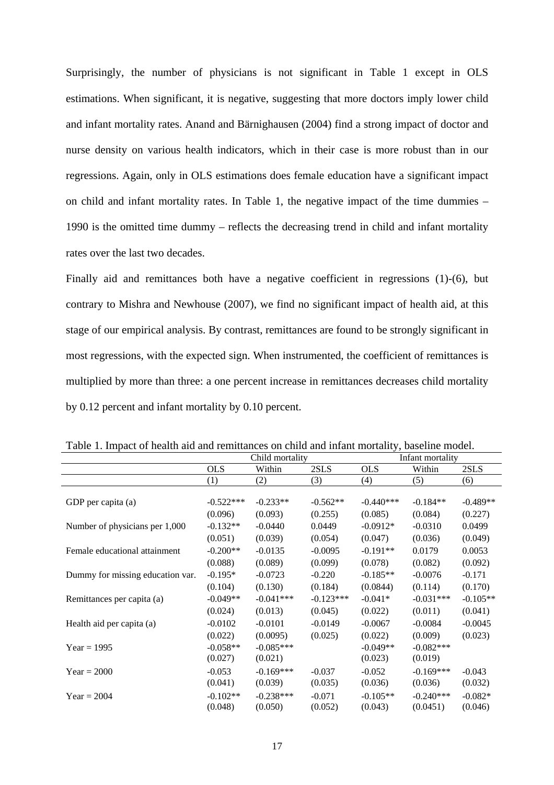Surprisingly, the number of physicians is not significant in Table 1 except in OLS estimations. When significant, it is negative, suggesting that more doctors imply lower child and infant mortality rates. Anand and Bärnighausen (2004) find a strong impact of doctor and nurse density on various health indicators, which in their case is more robust than in our regressions. Again, only in OLS estimations does female education have a significant impact on child and infant mortality rates. In Table 1, the negative impact of the time dummies – 1990 is the omitted time dummy – reflects the decreasing trend in child and infant mortality rates over the last two decades.

Finally aid and remittances both have a negative coefficient in regressions (1)-(6), but contrary to Mishra and Newhouse (2007), we find no significant impact of health aid, at this stage of our empirical analysis. By contrast, remittances are found to be strongly significant in most regressions, with the expected sign. When instrumented, the coefficient of remittances is multiplied by more than three: a one percent increase in remittances decreases child mortality by 0.12 percent and infant mortality by 0.10 percent.

|                                  | Child mortality |             | Infant mortality |             |             |            |
|----------------------------------|-----------------|-------------|------------------|-------------|-------------|------------|
|                                  | <b>OLS</b>      | Within      | 2SLS             | <b>OLS</b>  | Within      | 2SLS       |
|                                  | (1)             | (2)         | (3)              | (4)         | (5)         | (6)        |
|                                  |                 |             |                  |             |             |            |
| GDP per capita (a)               | $-0.522***$     | $-0.233**$  | $-0.562**$       | $-0.440***$ | $-0.184**$  | $-0.489**$ |
|                                  | (0.096)         | (0.093)     | (0.255)          | (0.085)     | (0.084)     | (0.227)    |
| Number of physicians per 1,000   | $-0.132**$      | $-0.0440$   | 0.0449           | $-0.0912*$  | $-0.0310$   | 0.0499     |
|                                  | (0.051)         | (0.039)     | (0.054)          | (0.047)     | (0.036)     | (0.049)    |
| Female educational attainment    | $-0.200**$      | $-0.0135$   | $-0.0095$        | $-0.191**$  | 0.0179      | 0.0053     |
|                                  | (0.088)         | (0.089)     | (0.099)          | (0.078)     | (0.082)     | (0.092)    |
| Dummy for missing education var. | $-0.195*$       | $-0.0723$   | $-0.220$         | $-0.185**$  | $-0.0076$   | $-0.171$   |
|                                  | (0.104)         | (0.130)     | (0.184)          | (0.0844)    | (0.114)     | (0.170)    |
| Remittances per capita (a)       | $-0.049**$      | $-0.041***$ | $-0.123***$      | $-0.041*$   | $-0.031***$ | $-0.105**$ |
|                                  | (0.024)         | (0.013)     | (0.045)          | (0.022)     | (0.011)     | (0.041)    |
| Health aid per capita (a)        | $-0.0102$       | $-0.0101$   | $-0.0149$        | $-0.0067$   | $-0.0084$   | $-0.0045$  |
|                                  | (0.022)         | (0.0095)    | (0.025)          | (0.022)     | (0.009)     | (0.023)    |
| $Year = 1995$                    | $-0.058**$      | $-0.085***$ |                  | $-0.049**$  | $-0.082***$ |            |
|                                  | (0.027)         | (0.021)     |                  | (0.023)     | (0.019)     |            |
| $Year = 2000$                    | $-0.053$        | $-0.169***$ | $-0.037$         | $-0.052$    | $-0.169***$ | $-0.043$   |
|                                  | (0.041)         | (0.039)     | (0.035)          | (0.036)     | (0.036)     | (0.032)    |
| $Year = 2004$                    | $-0.102**$      | $-0.238***$ | $-0.071$         | $-0.105**$  | $-0.240***$ | $-0.082*$  |
|                                  | (0.048)         | (0.050)     | (0.052)          | (0.043)     | (0.0451)    | (0.046)    |

Table 1. Impact of health aid and remittances on child and infant mortality, baseline model.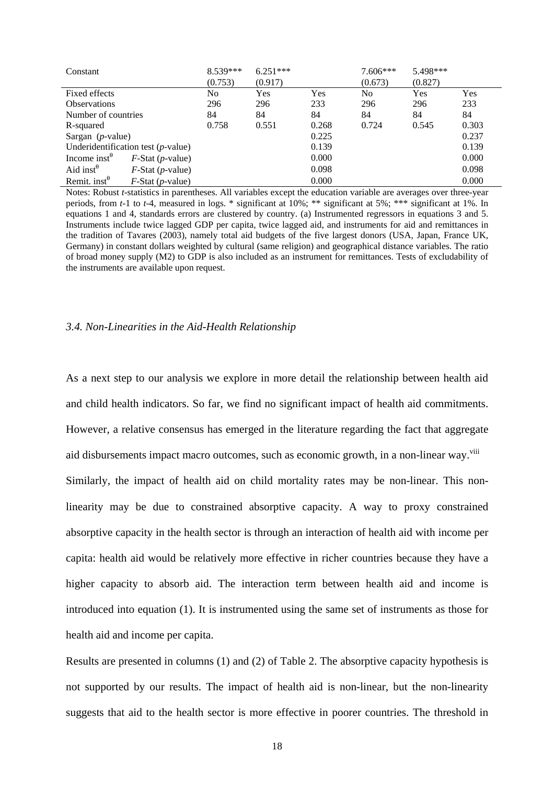| Constant                                |                                       | 8.539*** | $6.251***$ |       | 7.606*** | 5.498*** |       |
|-----------------------------------------|---------------------------------------|----------|------------|-------|----------|----------|-------|
|                                         |                                       | (0.753)  | (0.917)    |       | (0.673)  | (0.827)  |       |
| Fixed effects                           |                                       | No       | Yes        | Yes   | No.      | Yes      | Yes   |
| <b>Observations</b>                     |                                       | 296      | 296        | 233   | 296      | 296      | 233   |
| Number of countries                     |                                       | 84       | 84         | 84    | 84       | 84       | 84    |
| R-squared                               |                                       | 0.758    | 0.551      | 0.268 | 0.724    | 0.545    | 0.303 |
| Sargan $(p$ -value)                     |                                       |          |            | 0.225 |          |          | 0.237 |
|                                         | Underidentification test $(p$ -value) |          |            | 0.139 |          |          | 0.139 |
| Income inst $\theta$                    | $F\text{-Stat}(p\text{-value})$       |          |            | 0.000 |          |          | 0.000 |
| Aid inst <sup><math>\theta</math></sup> | $F$ -Stat ( <i>p</i> -value)          |          |            | 0.098 |          |          | 0.098 |
| Remit. inst $^{\theta}$                 | $F$ -Stat (p-value)                   |          |            | 0.000 |          |          | 0.000 |

Notes: Robust *t*-statistics in parentheses. All variables except the education variable are averages over three-year periods, from *t*-1 to *t*-4, measured in logs. \* significant at 10%; \*\* significant at 5%; \*\*\* significant at 1%. In equations 1 and 4, standards errors are clustered by country. (a) Instrumented regressors in equations 3 and 5. Instruments include twice lagged GDP per capita, twice lagged aid, and instruments for aid and remittances in the tradition of Tavares (2003), namely total aid budgets of the five largest donors (USA, Japan, France UK, Germany) in constant dollars weighted by cultural (same religion) and geographical distance variables. The ratio of broad money supply (M2) to GDP is also included as an instrument for remittances. Tests of excludability of the instruments are available upon request.

#### *3.4. Non-Linearities in the Aid-Health Relationship*

As a next step to our analysis we explore in more detail the relationship between health aid and child health indicators. So far, we find no significant impact of health aid commitments. However, a relative consensus has emerged in the literature regarding the fact that aggregate aid disbursements impact macro outcomes, such as economic growth, in a non-linear way.<sup>viii</sup> Similarly, the impact of health aid on child mortality rates may be non-linear. This nonlinearity may be due to constrained absorptive capacity. A way to proxy constrained absorptive capacity in the health sector is through an interaction of health aid with income per capita: health aid would be relatively more effective in richer countries because they have a higher capacity to absorb aid. The interaction term between health aid and income is introduced into equation (1). It is instrumented using the same set of instruments as those for health aid and income per capita.

Results are presented in columns (1) and (2) of Table 2. The absorptive capacity hypothesis is not supported by our results. The impact of health aid is non-linear, but the non-linearity suggests that aid to the health sector is more effective in poorer countries. The threshold in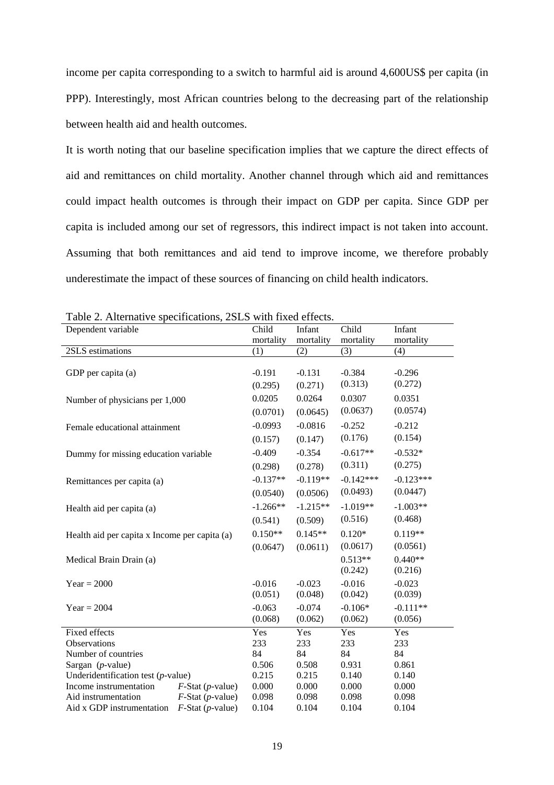income per capita corresponding to a switch to harmful aid is around 4,600US\$ per capita (in PPP). Interestingly, most African countries belong to the decreasing part of the relationship between health aid and health outcomes.

It is worth noting that our baseline specification implies that we capture the direct effects of aid and remittances on child mortality. Another channel through which aid and remittances could impact health outcomes is through their impact on GDP per capita. Since GDP per capita is included among our set of regressors, this indirect impact is not taken into account. Assuming that both remittances and aid tend to improve income, we therefore probably underestimate the impact of these sources of financing on child health indicators.

| I able 2. Alternative specifications, 2513 with fixed cricets. |                              |            |            |             |             |  |  |
|----------------------------------------------------------------|------------------------------|------------|------------|-------------|-------------|--|--|
| Dependent variable                                             |                              | Child      | Infant     | Child       | Infant      |  |  |
|                                                                |                              | mortality  | mortality  | mortality   | mortality   |  |  |
| 2SLS estimations                                               |                              | (1)        | (2)        | (3)         | (4)         |  |  |
|                                                                |                              |            |            |             |             |  |  |
| GDP per capita (a)                                             |                              | $-0.191$   | $-0.131$   | $-0.384$    | $-0.296$    |  |  |
|                                                                |                              | (0.295)    | (0.271)    | (0.313)     | (0.272)     |  |  |
| Number of physicians per 1,000                                 |                              | 0.0205     | 0.0264     | 0.0307      | 0.0351      |  |  |
|                                                                |                              | (0.0701)   | (0.0645)   | (0.0637)    | (0.0574)    |  |  |
| Female educational attainment                                  |                              | $-0.0993$  | $-0.0816$  | $-0.252$    | $-0.212$    |  |  |
|                                                                |                              | (0.157)    | (0.147)    | (0.176)     | (0.154)     |  |  |
| Dummy for missing education variable                           |                              | $-0.409$   | $-0.354$   | $-0.617**$  | $-0.532*$   |  |  |
|                                                                |                              | (0.298)    | (0.278)    | (0.311)     | (0.275)     |  |  |
| Remittances per capita (a)                                     |                              | $-0.137**$ | $-0.119**$ | $-0.142***$ | $-0.123***$ |  |  |
|                                                                |                              | (0.0540)   | (0.0506)   | (0.0493)    | (0.0447)    |  |  |
| Health aid per capita (a)                                      |                              | $-1.266**$ | $-1.215**$ | $-1.019**$  | $-1.003**$  |  |  |
|                                                                |                              | (0.541)    | (0.509)    | (0.516)     | (0.468)     |  |  |
| Health aid per capita x Income per capita (a)                  |                              | $0.150**$  | $0.145**$  | $0.120*$    | $0.119**$   |  |  |
|                                                                |                              | (0.0647)   | (0.0611)   | (0.0617)    | (0.0561)    |  |  |
| Medical Brain Drain (a)                                        |                              |            |            | $0.513**$   | $0.440**$   |  |  |
|                                                                |                              |            |            | (0.242)     | (0.216)     |  |  |
| $Year = 2000$                                                  |                              | $-0.016$   | $-0.023$   | $-0.016$    | $-0.023$    |  |  |
|                                                                |                              | (0.051)    | (0.048)    | (0.042)     | (0.039)     |  |  |
| $Year = 2004$                                                  |                              | $-0.063$   | $-0.074$   | $-0.106*$   | $-0.111**$  |  |  |
|                                                                |                              | (0.068)    | (0.062)    | (0.062)     | (0.056)     |  |  |
| Fixed effects                                                  |                              | Yes        | Yes        | Yes         | Yes         |  |  |
| <b>Observations</b>                                            |                              | 233        | 233        | 233         | 233         |  |  |
| Number of countries                                            | 84                           | 84         | 84         | 84          |             |  |  |
| Sargan $(p$ -value)                                            | 0.506                        | 0.508      | 0.931      | 0.861       |             |  |  |
| Underidentification test $(p$ -value)                          | 0.215                        | 0.215      | 0.140      | 0.140       |             |  |  |
| Income instrumentation                                         | $F$ -Stat ( <i>p</i> -value) | 0.000      | 0.000      | 0.000       | 0.000       |  |  |
| Aid instrumentation                                            | $F$ -Stat (p-value)          | 0.098      | 0.098      | 0.098       | 0.098       |  |  |
| Aid x GDP instrumentation                                      | $F$ -Stat (p-value)          | 0.104      | 0.104      | 0.104       | 0.104       |  |  |

Table 2. Alternative specifications, 2SLS with fixed effects.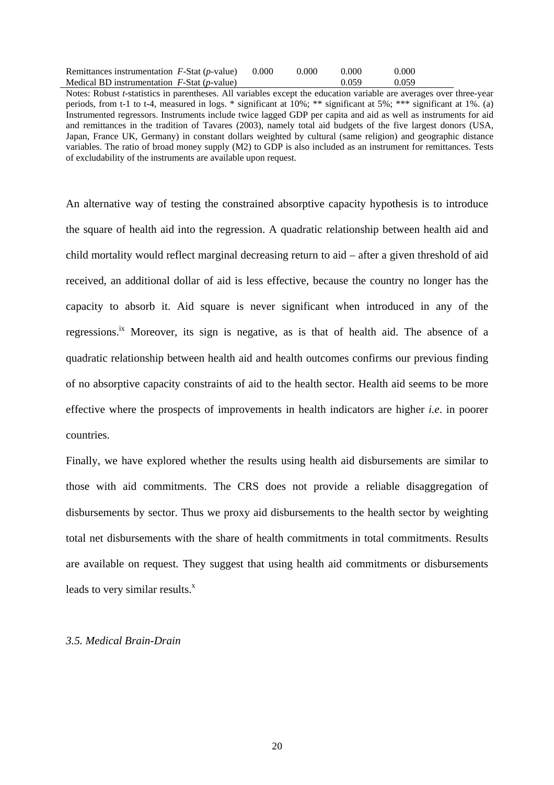| Remittances instrumentation $F$ -Stat ( <i>p</i> -value) | 0.000 | 0.000 | 0.000 | 0.000 |
|----------------------------------------------------------|-------|-------|-------|-------|
| Medical BD instrumentation $F$ -Stat ( <i>p</i> -value)  |       |       | 0.059 | 0.059 |

Notes: Robust *t*-statistics in parentheses. All variables except the education variable are averages over three-year periods, from t-1 to t-4, measured in logs. \* significant at 10%; \*\* significant at 5%; \*\*\* significant at 1%. (a) Instrumented regressors. Instruments include twice lagged GDP per capita and aid as well as instruments for aid and remittances in the tradition of Tavares (2003), namely total aid budgets of the five largest donors (USA, Japan, France UK, Germany) in constant dollars weighted by cultural (same religion) and geographic distance variables. The ratio of broad money supply (M2) to GDP is also included as an instrument for remittances. Tests of excludability of the instruments are available upon request.

An alternative way of testing the constrained absorptive capacity hypothesis is to introduce the square of health aid into the regression. A quadratic relationship between health aid and child mortality would reflect marginal decreasing return to aid – after a given threshold of aid received, an additional dollar of aid is less effective, because the country no longer has the capacity to absorb it. Aid square is never significant when introduced in any of the regressions.<sup>ix</sup> Moreover, its sign is negative, as is that of health aid. The absence of a quadratic relationship between health aid and health outcomes confirms our previous finding of no absorptive capacity constraints of aid to the health sector. Health aid seems to be more effective where the prospects of improvements in health indicators are higher *i.e*. in poorer countries.

Finally, we have explored whether the results using health aid disbursements are similar to those with aid commitments. The CRS does not provide a reliable disaggregation of disbursements by sector. Thus we proxy aid disbursements to the health sector by weighting total net disbursements with the share of health commitments in total commitments. Results are available on request. They suggest that using health aid commitments or disbursements leads to very similar results. $^x$ 

#### *3.5. Medical Brain-Drain*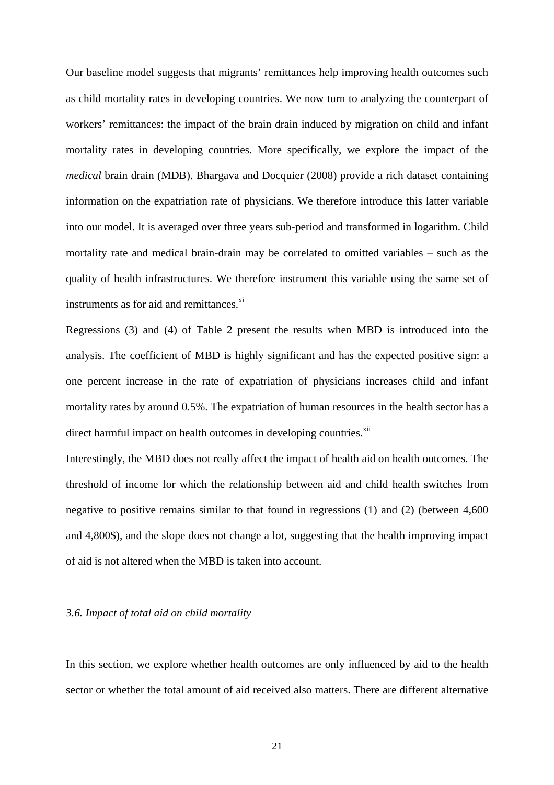Our baseline model suggests that migrants' remittances help improving health outcomes such as child mortality rates in developing countries. We now turn to analyzing the counterpart of workers' remittances: the impact of the brain drain induced by migration on child and infant mortality rates in developing countries. More specifically, we explore the impact of the *medical* brain drain (MDB). Bhargava and Docquier (2008) provide a rich dataset containing information on the expatriation rate of physicians. We therefore introduce this latter variable into our model. It is averaged over three years sub-period and transformed in logarithm. Child mortality rate and medical brain-drain may be correlated to omitted variables – such as the quality of health infrastructures. We therefore instrument this variable using the same set of instruments as for aid and remittances.<sup>xi</sup>

Regressions (3) and (4) of Table 2 present the results when MBD is introduced into the analysis. The coefficient of MBD is highly significant and has the expected positive sign: a one percent increase in the rate of expatriation of physicians increases child and infant mortality rates by around 0.5%. The expatriation of human resources in the health sector has a direct harmful impact on health outcomes in developing countries.<sup>xii</sup>

Interestingly, the MBD does not really affect the impact of health aid on health outcomes. The threshold of income for which the relationship between aid and child health switches from negative to positive remains similar to that found in regressions (1) and (2) (between 4,600 and 4,800\$), and the slope does not change a lot, suggesting that the health improving impact of aid is not altered when the MBD is taken into account.

#### *3.6. Impact of total aid on child mortality*

In this section, we explore whether health outcomes are only influenced by aid to the health sector or whether the total amount of aid received also matters. There are different alternative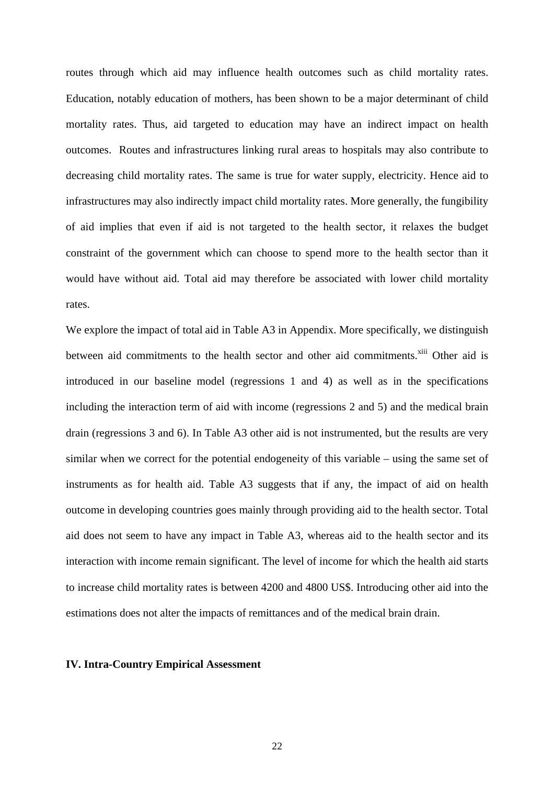routes through which aid may influence health outcomes such as child mortality rates. Education, notably education of mothers, has been shown to be a major determinant of child mortality rates. Thus, aid targeted to education may have an indirect impact on health outcomes. Routes and infrastructures linking rural areas to hospitals may also contribute to decreasing child mortality rates. The same is true for water supply, electricity. Hence aid to infrastructures may also indirectly impact child mortality rates. More generally, the fungibility of aid implies that even if aid is not targeted to the health sector, it relaxes the budget constraint of the government which can choose to spend more to the health sector than it would have without aid. Total aid may therefore be associated with lower child mortality rates.

We explore the impact of total aid in Table A3 in Appendix. More specifically, we distinguish between aid commitments to the health sector and other aid commitments.<sup>xiii</sup> Other aid is introduced in our baseline model (regressions 1 and 4) as well as in the specifications including the interaction term of aid with income (regressions 2 and 5) and the medical brain drain (regressions 3 and 6). In Table A3 other aid is not instrumented, but the results are very similar when we correct for the potential endogeneity of this variable – using the same set of instruments as for health aid. Table A3 suggests that if any, the impact of aid on health outcome in developing countries goes mainly through providing aid to the health sector. Total aid does not seem to have any impact in Table A3, whereas aid to the health sector and its interaction with income remain significant. The level of income for which the health aid starts to increase child mortality rates is between 4200 and 4800 US\$. Introducing other aid into the estimations does not alter the impacts of remittances and of the medical brain drain.

#### **IV. Intra-Country Empirical Assessment**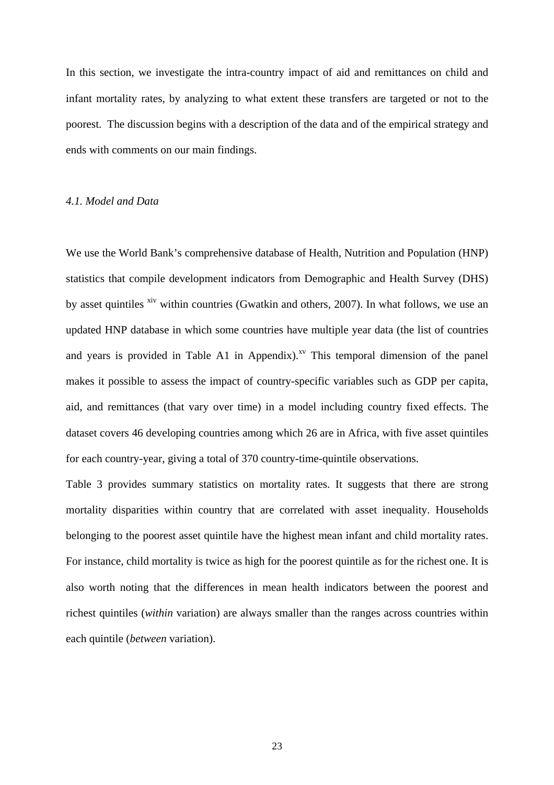In this section, we investigate the intra-country impact of aid and remittances on child and infant mortality rates, by analyzing to what extent these transfers are targeted or not to the poorest. The discussion begins with a description of the data and of the empirical strategy and ends with comments on our main findings.

#### *4.1. Model and Data*

We use the World Bank's comprehensive database of Health, Nutrition and Population (HNP) statistics that compile development indicators from Demographic and Health Survey (DHS) by asset quintiles <sup>xiv</sup> within countries (Gwatkin and others, 2007). In what follows, we use an updated HNP database in which some countries have multiple year data (the list of countries and years is provided in Table A1 in Appendix).<sup>xv</sup> This temporal dimension of the panel makes it possible to assess the impact of country-specific variables such as GDP per capita, aid, and remittances (that vary over time) in a model including country fixed effects. The dataset covers 46 developing countries among which 26 are in Africa, with five asset quintiles for each country-year, giving a total of 370 country-time-quintile observations.

Table 3 provides summary statistics on mortality rates. It suggests that there are strong mortality disparities within country that are correlated with asset inequality. Households belonging to the poorest asset quintile have the highest mean infant and child mortality rates. For instance, child mortality is twice as high for the poorest quintile as for the richest one. It is also worth noting that the differences in mean health indicators between the poorest and richest quintiles (*within* variation) are always smaller than the ranges across countries within each quintile (*between* variation).

23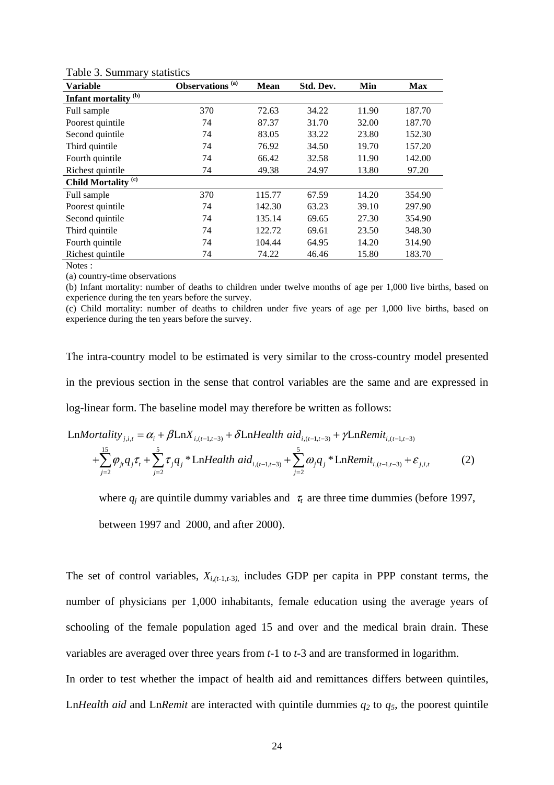| <b>Variable</b>                 | Observations <sup>(a)</sup> | <b>Mean</b> | Std. Dev. | Min   | <b>Max</b> |
|---------------------------------|-----------------------------|-------------|-----------|-------|------------|
| Infant mortality <sup>(b)</sup> |                             |             |           |       |            |
| Full sample                     | 370                         | 72.63       | 34.22     | 11.90 | 187.70     |
| Poorest quintile                | 74                          | 87.37       | 31.70     | 32.00 | 187.70     |
| Second quintile                 | 74                          | 83.05       | 33.22     | 23.80 | 152.30     |
| Third quintile                  | 74                          | 76.92       | 34.50     | 19.70 | 157.20     |
| Fourth quintile                 | 74                          | 66.42       | 32.58     | 11.90 | 142.00     |
| Richest quintile                | 74                          | 49.38       | 24.97     | 13.80 | 97.20      |
| Child Mortality <sup>(c)</sup>  |                             |             |           |       |            |
| Full sample                     | 370                         | 115.77      | 67.59     | 14.20 | 354.90     |
| Poorest quintile                | 74                          | 142.30      | 63.23     | 39.10 | 297.90     |
| Second quintile                 | 74                          | 135.14      | 69.65     | 27.30 | 354.90     |
| Third quintile                  | 74                          | 122.72      | 69.61     | 23.50 | 348.30     |
| Fourth quintile                 | 74                          | 104.44      | 64.95     | 14.20 | 314.90     |
| Richest quintile                | 74                          | 74.22       | 46.46     | 15.80 | 183.70     |
| Notes ·                         |                             |             |           |       |            |

Table 3. Summary statistics

(a) country-time observations

(b) Infant mortality: number of deaths to children under twelve months of age per 1,000 live births, based on experience during the ten years before the survey.

(c) Child mortality: number of deaths to children under five years of age per 1,000 live births, based on experience during the ten years before the survey.

The intra-country model to be estimated is very similar to the cross-country model presented in the previous section in the sense that control variables are the same and are expressed in log-linear form. The baseline model may therefore be written as follows:

$$
\text{Ln}Mortality_{j,i,t} = \alpha_i + \beta \text{Ln}X_{i,(t-1,t-3)} + \delta \text{Ln}Health \text{ aid}_{i,(t-1,t-3)} + \gamma \text{Ln}Remit_{i,(t-1,t-3)} + \sum_{j=2}^{15} \varphi_{ji} q_j \tau_t + \sum_{j=2}^{5} \tau_j q_j * \text{Ln}Health \text{ aid}_{i,(t-1,t-3)} + \sum_{j=2}^{5} \omega_j q_j * \text{Ln}Remit_{i,(t-1,t-3)} + \varepsilon_{j,i,t}
$$
(2)

where  $q_i$  are quintile dummy variables and  $\tau_i$  are three time dummies (before 1997,

between 1997 and 2000, and after 2000).

The set of control variables,  $X_{i,(t-1,t-3)}$ , includes GDP per capita in PPP constant terms, the number of physicians per 1,000 inhabitants, female education using the average years of schooling of the female population aged 15 and over and the medical brain drain. These variables are averaged over three years from *t*-1 to *t*-3 and are transformed in logarithm.

In order to test whether the impact of health aid and remittances differs between quintiles, Ln*Health aid* and Ln*Remit* are interacted with quintile dummies  $q_2$  to  $q_5$ , the poorest quintile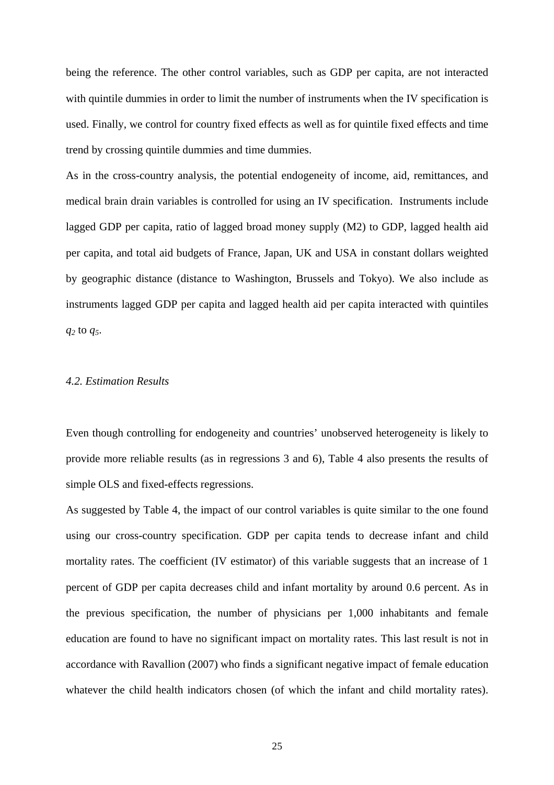being the reference. The other control variables, such as GDP per capita, are not interacted with quintile dummies in order to limit the number of instruments when the IV specification is used. Finally, we control for country fixed effects as well as for quintile fixed effects and time trend by crossing quintile dummies and time dummies.

As in the cross-country analysis, the potential endogeneity of income, aid, remittances, and medical brain drain variables is controlled for using an IV specification. Instruments include lagged GDP per capita, ratio of lagged broad money supply (M2) to GDP, lagged health aid per capita, and total aid budgets of France, Japan, UK and USA in constant dollars weighted by geographic distance (distance to Washington, Brussels and Tokyo). We also include as instruments lagged GDP per capita and lagged health aid per capita interacted with quintiles *q2* to *q5*.

#### *4.2. Estimation Results*

Even though controlling for endogeneity and countries' unobserved heterogeneity is likely to provide more reliable results (as in regressions 3 and 6), Table 4 also presents the results of simple OLS and fixed-effects regressions.

As suggested by Table 4, the impact of our control variables is quite similar to the one found using our cross-country specification. GDP per capita tends to decrease infant and child mortality rates. The coefficient (IV estimator) of this variable suggests that an increase of 1 percent of GDP per capita decreases child and infant mortality by around 0.6 percent. As in the previous specification, the number of physicians per 1,000 inhabitants and female education are found to have no significant impact on mortality rates. This last result is not in accordance with Ravallion (2007) who finds a significant negative impact of female education whatever the child health indicators chosen (of which the infant and child mortality rates).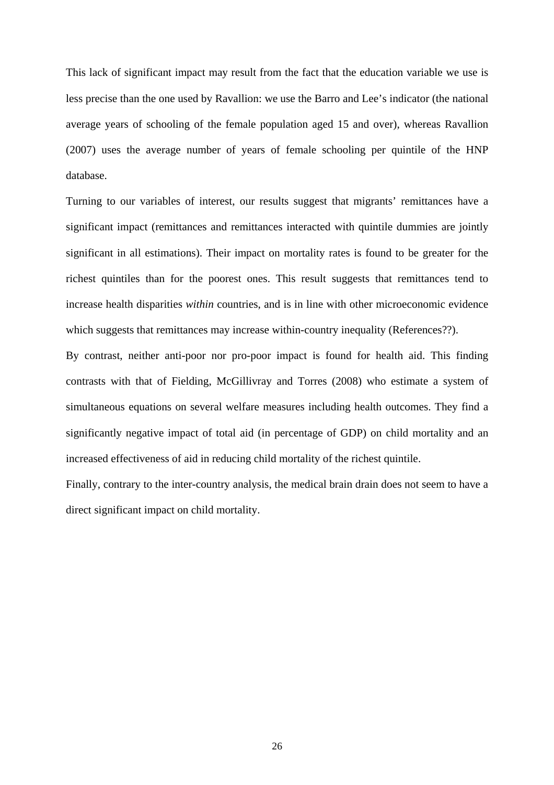This lack of significant impact may result from the fact that the education variable we use is less precise than the one used by Ravallion: we use the Barro and Lee's indicator (the national average years of schooling of the female population aged 15 and over), whereas Ravallion (2007) uses the average number of years of female schooling per quintile of the HNP database.

Turning to our variables of interest, our results suggest that migrants' remittances have a significant impact (remittances and remittances interacted with quintile dummies are jointly significant in all estimations). Their impact on mortality rates is found to be greater for the richest quintiles than for the poorest ones. This result suggests that remittances tend to increase health disparities *within* countries, and is in line with other microeconomic evidence which suggests that remittances may increase within-country inequality (References??).

By contrast, neither anti-poor nor pro-poor impact is found for health aid. This finding contrasts with that of Fielding, McGillivray and Torres (2008) who estimate a system of simultaneous equations on several welfare measures including health outcomes. They find a significantly negative impact of total aid (in percentage of GDP) on child mortality and an increased effectiveness of aid in reducing child mortality of the richest quintile.

Finally, contrary to the inter-country analysis, the medical brain drain does not seem to have a direct significant impact on child mortality.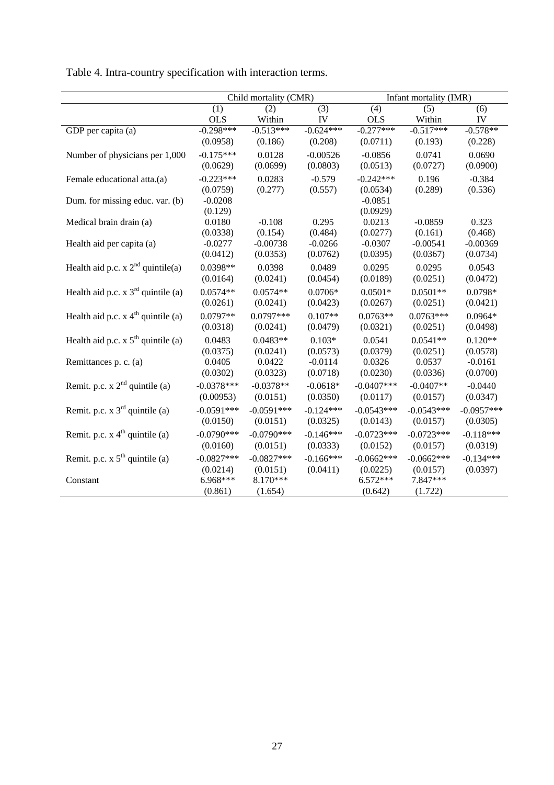|                                        |              | Child mortality (CMR) |             |              | Infant mortality (IMR) |              |
|----------------------------------------|--------------|-----------------------|-------------|--------------|------------------------|--------------|
|                                        | (1)          | (2)                   | (3)         | (4)          | (5)                    | (6)          |
|                                        | <b>OLS</b>   | Within                | IV          | <b>OLS</b>   | Within                 | IV           |
| GDP per capita $(a)$                   | $-0.298***$  | $-0.513***$           | $-0.624***$ | $-0.277***$  | $-0.517***$            | $-0.578**$   |
|                                        | (0.0958)     | (0.186)               | (0.208)     | (0.0711)     | (0.193)                | (0.228)      |
| Number of physicians per 1,000         | $-0.175***$  | 0.0128                | $-0.00526$  | $-0.0856$    | 0.0741                 | 0.0690       |
|                                        | (0.0629)     | (0.0699)              | (0.0803)    | (0.0513)     | (0.0727)               | (0.0900)     |
| Female educational atta.(a)            | $-0.223***$  | 0.0283                | $-0.579$    | $-0.242***$  | 0.196                  | $-0.384$     |
|                                        | (0.0759)     | (0.277)               | (0.557)     | (0.0534)     | (0.289)                | (0.536)      |
| Dum. for missing educ. var. (b)        | $-0.0208$    |                       |             | $-0.0851$    |                        |              |
|                                        | (0.129)      |                       |             | (0.0929)     |                        |              |
| Medical brain drain (a)                | 0.0180       | $-0.108$              | 0.295       | 0.0213       | $-0.0859$              | 0.323        |
|                                        | (0.0338)     | (0.154)               | (0.484)     | (0.0277)     | (0.161)                | (0.468)      |
| Health aid per capita (a)              | $-0.0277$    | $-0.00738$            | $-0.0266$   | $-0.0307$    | $-0.00541$             | $-0.00369$   |
|                                        | (0.0412)     | (0.0353)              | (0.0762)    | (0.0395)     | (0.0367)               | (0.0734)     |
| Health aid p.c. $x 2nd$ quintile(a)    | 0.0398**     | 0.0398                | 0.0489      | 0.0295       | 0.0295                 | 0.0543       |
|                                        | (0.0164)     | (0.0241)              | (0.0454)    | (0.0189)     | (0.0251)               | (0.0472)     |
| Health aid p.c. $x 3rd$ quintile (a)   | $0.0574**$   | $0.0574**$            | $0.0706*$   | $0.0501*$    | $0.0501**$             | 0.0798*      |
|                                        | (0.0261)     | (0.0241)              | (0.0423)    | (0.0267)     | (0.0251)               | (0.0421)     |
| Health aid p.c. $x 4th$ quintile (a)   | $0.0797**$   | $0.0797***$           | $0.107**$   | $0.0763**$   | $0.0763***$            | $0.0964*$    |
|                                        | (0.0318)     | (0.0241)              | (0.0479)    | (0.0321)     | (0.0251)               | (0.0498)     |
| Health aid p.c. $x 5th$ quintile (a)   | 0.0483       | $0.0483**$            | $0.103*$    | 0.0541       | $0.0541**$             | $0.120**$    |
|                                        | (0.0375)     | (0.0241)              | (0.0573)    | (0.0379)     | (0.0251)               | (0.0578)     |
| Remittances p. c. (a)                  | 0.0405       | 0.0422                | $-0.0114$   | 0.0326       | 0.0537                 | $-0.0161$    |
|                                        | (0.0302)     | (0.0323)              | (0.0718)    | (0.0230)     | (0.0336)               | (0.0700)     |
| Remit. p.c. $x 2nd$ quintile (a)       | $-0.0378***$ | $-0.0378**$           | $-0.0618*$  | $-0.0407***$ | $-0.0407**$            | $-0.0440$    |
|                                        | (0.00953)    | (0.0151)              | (0.0350)    | (0.0117)     | (0.0157)               | (0.0347)     |
| Remit. p.c. $x \, 3^{rd}$ quintile (a) | $-0.0591***$ | $-0.0591***$          | $-0.124***$ | $-0.0543***$ | $-0.0543***$           | $-0.0957***$ |
|                                        | (0.0150)     | (0.0151)              | (0.0325)    | (0.0143)     | (0.0157)               | (0.0305)     |
| Remit. p.c. $x 4th$ quintile (a)       | $-0.0790***$ | $-0.0790***$          | $-0.146***$ | $-0.0723***$ | $-0.0723***$           | $-0.118***$  |
|                                        | (0.0160)     | (0.0151)              | (0.0333)    | (0.0152)     | (0.0157)               | (0.0319)     |
| Remit. p.c. $x 5th$ quintile (a)       | $-0.0827***$ | $-0.0827***$          | $-0.166***$ | $-0.0662***$ | $-0.0662***$           | $-0.134***$  |
|                                        | (0.0214)     | (0.0151)              | (0.0411)    | (0.0225)     | (0.0157)               | (0.0397)     |
| Constant                               | 6.968***     | 8.170***              |             | $6.572***$   | 7.847***               |              |
|                                        | (0.861)      | (1.654)               |             | (0.642)      | (1.722)                |              |

Table 4. Intra-country specification with interaction terms.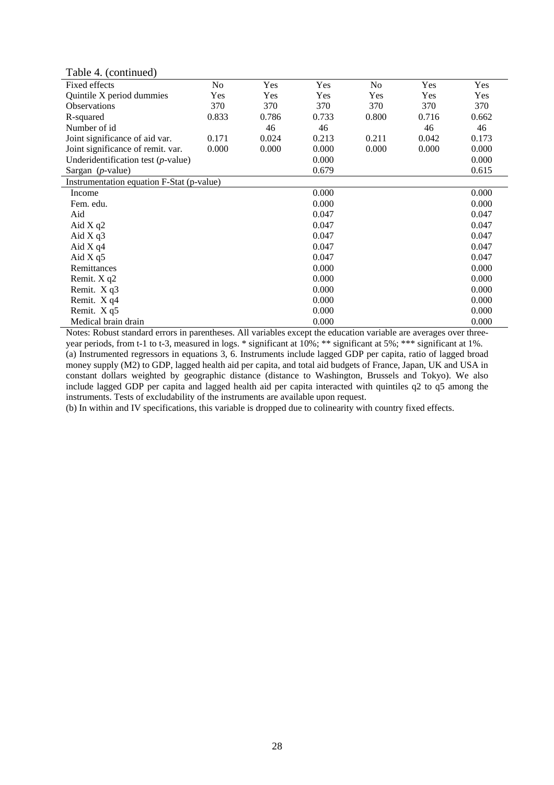Table 4. (continued)

| $\cdots$ , $\cdots$                       |       |       |       |       |       |       |
|-------------------------------------------|-------|-------|-------|-------|-------|-------|
| Fixed effects                             | No    | Yes   | Yes   | No    | Yes   | Yes   |
| Quintile X period dummies                 | Yes   | Yes   | Yes   | Yes   | Yes   | Yes   |
| Observations                              | 370   | 370   | 370   | 370   | 370   | 370   |
| R-squared                                 | 0.833 | 0.786 | 0.733 | 0.800 | 0.716 | 0.662 |
| Number of id                              |       | 46    | 46    |       | 46    | 46    |
| Joint significance of aid var.            | 0.171 | 0.024 | 0.213 | 0.211 | 0.042 | 0.173 |
| Joint significance of remit. var.         | 0.000 | 0.000 | 0.000 | 0.000 | 0.000 | 0.000 |
| Underidentification test $(p$ -value)     |       |       | 0.000 |       |       | 0.000 |
| Sargan $(p$ -value)                       |       |       | 0.679 |       |       | 0.615 |
| Instrumentation equation F-Stat (p-value) |       |       |       |       |       |       |
| Income                                    |       |       | 0.000 |       |       | 0.000 |
| Fem. edu.                                 |       |       | 0.000 |       |       | 0.000 |
| Aid                                       |       |       | 0.047 |       |       | 0.047 |
| Aid $X$ q2                                |       |       | 0.047 |       |       | 0.047 |
| Aid $X$ q $3$                             |       |       | 0.047 |       |       | 0.047 |
| Aid $X q4$                                |       |       | 0.047 |       |       | 0.047 |
| Aid $X$ q5                                |       |       | 0.047 |       |       | 0.047 |
| Remittances                               |       |       | 0.000 |       |       | 0.000 |
| Remit. X q2                               |       |       | 0.000 |       |       | 0.000 |
| Remit. X q3                               |       |       | 0.000 |       |       | 0.000 |
| Remit. X q4                               |       |       | 0.000 |       |       | 0.000 |
| Remit. X q5                               |       |       | 0.000 |       |       | 0.000 |
| Medical brain drain                       |       |       | 0.000 |       |       | 0.000 |

Notes: Robust standard errors in parentheses. All variables except the education variable are averages over threeyear periods, from t-1 to t-3, measured in logs. \* significant at 10%; \*\* significant at 5%; \*\*\* significant at 1%. (a) Instrumented regressors in equations 3, 6. Instruments include lagged GDP per capita, ratio of lagged broad money supply (M2) to GDP, lagged health aid per capita, and total aid budgets of France, Japan, UK and USA in constant dollars weighted by geographic distance (distance to Washington, Brussels and Tokyo). We also include lagged GDP per capita and lagged health aid per capita interacted with quintiles q2 to q5 among the instruments. Tests of excludability of the instruments are available upon request.

(b) In within and IV specifications, this variable is dropped due to colinearity with country fixed effects.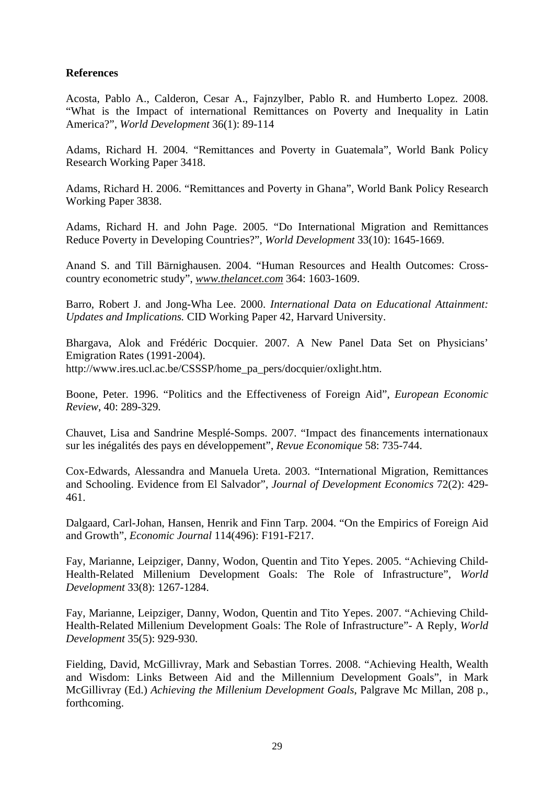#### **References**

Acosta, Pablo A., Calderon, Cesar A., Fajnzylber, Pablo R. and Humberto Lopez. 2008. "What is the Impact of international Remittances on Poverty and Inequality in Latin America?", *World Development* 36(1): 89-114

Adams, Richard H. 2004. "Remittances and Poverty in Guatemala", World Bank Policy Research Working Paper 3418.

Adams, Richard H. 2006. "Remittances and Poverty in Ghana", World Bank Policy Research Working Paper 3838.

Adams, Richard H. and John Page. 2005. "Do International Migration and Remittances Reduce Poverty in Developing Countries?", *World Development* 33(10): 1645-1669.

Anand S. and Till Bärnighausen. 2004. "Human Resources and Health Outcomes: Crosscountry econometric study", *www.thelancet.com* 364: 1603-1609.

Barro, Robert J. and Jong-Wha Lee. 2000. *International Data on Educational Attainment: Updates and Implications.* CID Working Paper 42, Harvard University.

Bhargava, Alok and Frédéric Docquier. 2007. A New Panel Data Set on Physicians' Emigration Rates (1991-2004). http://www.ires.ucl.ac.be/CSSSP/home\_pa\_pers/docquier/oxlight.htm.

Boone, Peter. 1996. "Politics and the Effectiveness of Foreign Aid", *European Economic Review*, 40: 289-329.

Chauvet, Lisa and Sandrine Mesplé-Somps. 2007. "Impact des financements internationaux sur les inégalités des pays en développement", *Revue Economique* 58: 735-744.

Cox-Edwards, Alessandra and Manuela Ureta. 2003. "International Migration, Remittances and Schooling. Evidence from El Salvador", *Journal of Development Economics* 72(2): 429- 461.

Dalgaard, Carl-Johan, Hansen, Henrik and Finn Tarp. 2004. "On the Empirics of Foreign Aid and Growth", *Economic Journal* 114(496): F191-F217.

Fay, Marianne, Leipziger, Danny, Wodon, Quentin and Tito Yepes. 2005. "Achieving Child-Health-Related Millenium Development Goals: The Role of Infrastructure", *World Development* 33(8): 1267-1284.

Fay, Marianne, Leipziger, Danny, Wodon, Quentin and Tito Yepes. 2007. "Achieving Child-Health-Related Millenium Development Goals: The Role of Infrastructure"- A Reply, *World Development* 35(5): 929-930.

Fielding, David, McGillivray, Mark and Sebastian Torres. 2008. "Achieving Health, Wealth and Wisdom: Links Between Aid and the Millennium Development Goals", in Mark McGillivray (Ed.) *Achieving the Millenium Development Goals*, Palgrave Mc Millan, 208 p., forthcoming.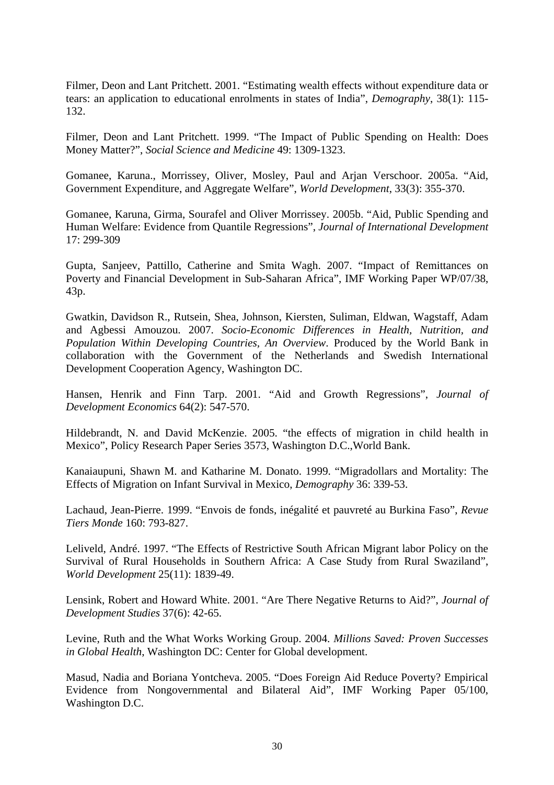Filmer, Deon and Lant Pritchett. 2001. "Estimating wealth effects without expenditure data or tears: an application to educational enrolments in states of India", *Demography*, 38(1): 115- 132.

Filmer, Deon and Lant Pritchett. 1999. "The Impact of Public Spending on Health: Does Money Matter?", *Social Science and Medicine* 49: 1309-1323.

Gomanee, Karuna., Morrissey, Oliver, Mosley, Paul and Arjan Verschoor. 2005a. "Aid, Government Expenditure, and Aggregate Welfare", *World Development*, 33(3): 355-370.

Gomanee, Karuna, Girma, Sourafel and Oliver Morrissey. 2005b. "Aid, Public Spending and Human Welfare: Evidence from Quantile Regressions", *Journal of International Development* 17: 299-309

Gupta, Sanjeev, Pattillo, Catherine and Smita Wagh. 2007. "Impact of Remittances on Poverty and Financial Development in Sub-Saharan Africa", IMF Working Paper WP/07/38, 43p.

Gwatkin, Davidson R., Rutsein, Shea, Johnson, Kiersten, Suliman, Eldwan, Wagstaff, Adam and Agbessi Amouzou. 2007. *Socio-Economic Differences in Health, Nutrition, and Population Within Developing Countries, An Overview*. Produced by the World Bank in collaboration with the Government of the Netherlands and Swedish International Development Cooperation Agency, Washington DC.

Hansen, Henrik and Finn Tarp. 2001. "Aid and Growth Regressions", *Journal of Development Economics* 64(2): 547-570.

Hildebrandt, N. and David McKenzie. 2005. "the effects of migration in child health in Mexico", Policy Research Paper Series 3573, Washington D.C.,World Bank.

Kanaiaupuni, Shawn M. and Katharine M. Donato. 1999. "Migradollars and Mortality: The Effects of Migration on Infant Survival in Mexico, *Demography* 36: 339-53.

Lachaud, Jean-Pierre. 1999. "Envois de fonds, inégalité et pauvreté au Burkina Faso", *Revue Tiers Monde* 160: 793-827.

Leliveld, André. 1997. "The Effects of Restrictive South African Migrant labor Policy on the Survival of Rural Households in Southern Africa: A Case Study from Rural Swaziland", *World Development* 25(11): 1839-49.

Lensink, Robert and Howard White. 2001. "Are There Negative Returns to Aid?", *Journal of Development Studies* 37(6): 42-65.

Levine, Ruth and the What Works Working Group. 2004. *Millions Saved: Proven Successes in Global Health*, Washington DC: Center for Global development.

Masud, Nadia and Boriana Yontcheva. 2005. "Does Foreign Aid Reduce Poverty? Empirical Evidence from Nongovernmental and Bilateral Aid", IMF Working Paper 05/100, Washington D.C.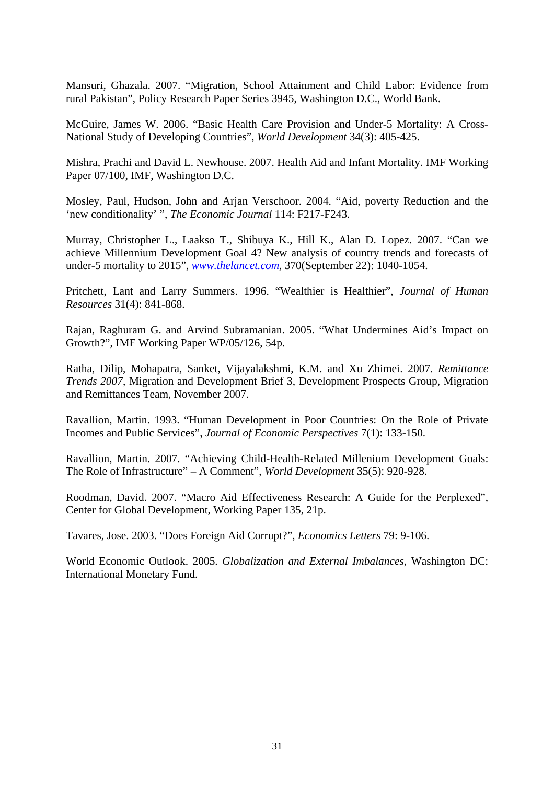Mansuri, Ghazala. 2007. "Migration, School Attainment and Child Labor: Evidence from rural Pakistan", Policy Research Paper Series 3945, Washington D.C., World Bank.

McGuire, James W. 2006. "Basic Health Care Provision and Under-5 Mortality: A Cross-National Study of Developing Countries", *World Development* 34(3): 405-425.

Mishra, Prachi and David L. Newhouse. 2007. Health Aid and Infant Mortality. IMF Working Paper 07/100, IMF, Washington D.C.

Mosley, Paul, Hudson, John and Arjan Verschoor. 2004. "Aid, poverty Reduction and the 'new conditionality' ", *The Economic Journal* 114: F217-F243.

Murray, Christopher L., Laakso T., Shibuya K., Hill K., Alan D. Lopez. 2007. "Can we achieve Millennium Development Goal 4? New analysis of country trends and forecasts of under-5 mortality to 2015", *www.thelancet.com,* 370(September 22): 1040-1054.

Pritchett, Lant and Larry Summers. 1996. "Wealthier is Healthier", *Journal of Human Resources* 31(4): 841-868.

Rajan, Raghuram G. and Arvind Subramanian. 2005. "What Undermines Aid's Impact on Growth?", IMF Working Paper WP/05/126, 54p.

Ratha, Dilip, Mohapatra, Sanket, Vijayalakshmi, K.M. and Xu Zhimei. 2007. *Remittance Trends 2007*, Migration and Development Brief 3, Development Prospects Group, Migration and Remittances Team, November 2007.

Ravallion, Martin. 1993. "Human Development in Poor Countries: On the Role of Private Incomes and Public Services", *Journal of Economic Perspectives* 7(1): 133-150.

Ravallion, Martin. 2007. "Achieving Child-Health-Related Millenium Development Goals: The Role of Infrastructure" – A Comment", *World Development* 35(5): 920-928.

Roodman, David. 2007. "Macro Aid Effectiveness Research: A Guide for the Perplexed", Center for Global Development, Working Paper 135, 21p.

Tavares, Jose. 2003. "Does Foreign Aid Corrupt?", *Economics Letters* 79: 9-106.

World Economic Outlook. 2005. *Globalization and External Imbalances*, Washington DC: International Monetary Fund.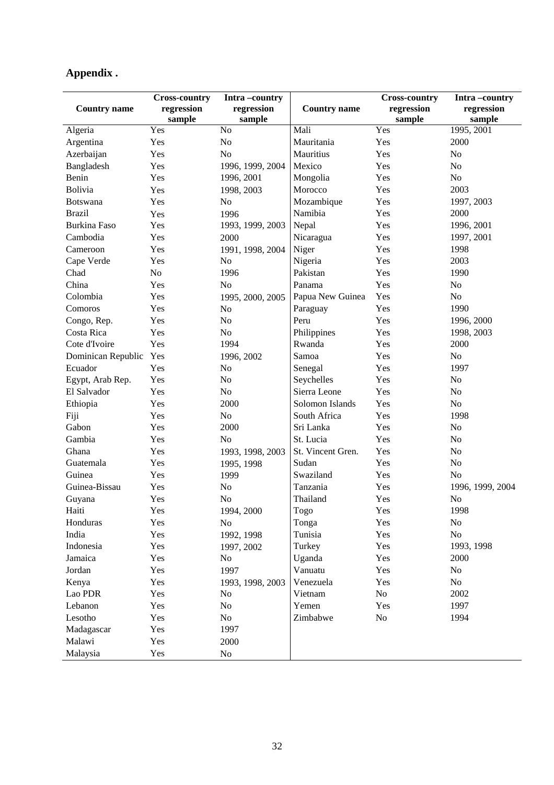## **Appendix .**

|                     | <b>Cross-country</b> | Intra-country    |                     | <b>Cross-country</b> | Intra-country    |
|---------------------|----------------------|------------------|---------------------|----------------------|------------------|
| <b>Country name</b> | regression           | regression       | <b>Country name</b> | regression           | regression       |
|                     | sample               | sample           |                     | sample               | sample           |
| Algeria             | Yes                  | No               | Mali                | Yes                  | 1995, 2001       |
| Argentina           | Yes                  | N <sub>o</sub>   | Mauritania          | Yes                  | 2000             |
| Azerbaijan          | Yes                  | N <sub>o</sub>   | Mauritius           | Yes                  | N <sub>o</sub>   |
| Bangladesh          | Yes                  | 1996, 1999, 2004 | Mexico              | Yes                  | No               |
| Benin               | Yes                  | 1996, 2001       | Mongolia            | Yes                  | No               |
| Bolivia             | Yes                  | 1998, 2003       | Morocco             | Yes                  | 2003             |
| <b>Botswana</b>     | Yes                  | N <sub>o</sub>   | Mozambique          | Yes                  | 1997, 2003       |
| <b>Brazil</b>       | Yes                  | 1996             | Namibia             | Yes                  | 2000             |
| <b>Burkina Faso</b> | Yes                  | 1993, 1999, 2003 | Nepal               | Yes                  | 1996, 2001       |
| Cambodia            | Yes                  | 2000             | Nicaragua           | Yes                  | 1997, 2001       |
| Cameroon            | Yes                  | 1991, 1998, 2004 | Niger               | Yes                  | 1998             |
| Cape Verde          | Yes                  | No               | Nigeria             | Yes                  | 2003             |
| Chad                | N <sub>o</sub>       | 1996             | Pakistan            | Yes                  | 1990             |
| China               | Yes                  | No               | Panama              | Yes                  | No               |
| Colombia            | Yes                  | 1995, 2000, 2005 | Papua New Guinea    | Yes                  | No               |
| Comoros             | Yes                  | No               | Paraguay            | Yes                  | 1990             |
| Congo, Rep.         | Yes                  | N <sub>o</sub>   | Peru                | Yes                  | 1996, 2000       |
| Costa Rica          | Yes                  | N <sub>o</sub>   | Philippines         | Yes                  | 1998, 2003       |
| Cote d'Ivoire       | Yes                  | 1994             | Rwanda              | Yes                  | 2000             |
| Dominican Republic  | Yes                  | 1996, 2002       | Samoa               | Yes                  | N <sub>o</sub>   |
| Ecuador             | Yes                  | No               | Senegal             | Yes                  | 1997             |
| Egypt, Arab Rep.    | Yes                  | No               | Seychelles          | Yes                  | N <sub>o</sub>   |
| El Salvador         | Yes                  | N <sub>o</sub>   | Sierra Leone        | Yes                  | N <sub>o</sub>   |
| Ethiopia            | Yes                  | 2000             | Solomon Islands     | Yes                  | N <sub>o</sub>   |
| Fiji                | Yes                  | No               | South Africa        | Yes                  | 1998             |
| Gabon               | Yes                  | 2000             | Sri Lanka           | Yes                  | N <sub>o</sub>   |
| Gambia              | Yes                  | N <sub>o</sub>   | St. Lucia           | Yes                  | N <sub>o</sub>   |
| Ghana               | Yes                  | 1993, 1998, 2003 | St. Vincent Gren.   | Yes                  | N <sub>o</sub>   |
| Guatemala           | Yes                  | 1995, 1998       | Sudan               | Yes                  | No               |
| Guinea              | Yes                  | 1999             | Swaziland           | Yes                  | N <sub>o</sub>   |
| Guinea-Bissau       | Yes                  | No               | Tanzania            | Yes                  | 1996, 1999, 2004 |
| Guyana              | Yes                  | No               | Thailand            | Yes                  | N <sub>o</sub>   |
| Haiti               | Yes                  | 1994, 2000       | Togo                | Yes                  | 1998             |
| Honduras            | Yes                  | No               | Tonga               | Yes                  | No               |
| India               | Yes                  | 1992, 1998       | Tunisia             | Yes                  | No               |
| Indonesia           | Yes                  | 1997, 2002       | Turkey              | Yes                  | 1993, 1998       |
| Jamaica             | Yes                  | No               | Uganda              | Yes                  | 2000             |
| Jordan              | Yes                  | 1997             | Vanuatu             | Yes                  | No               |
| Kenya               | Yes                  | 1993, 1998, 2003 | Venezuela           | Yes                  | $\rm No$         |
| Lao PDR             | Yes                  | No               | Vietnam             | No                   | 2002             |
| Lebanon             | Yes                  | No               | Yemen               | Yes                  | 1997             |
| Lesotho             | Yes                  | No               | Zimbabwe            | $\rm No$             | 1994             |
| Madagascar          | Yes                  | 1997             |                     |                      |                  |
| Malawi              | Yes                  | 2000             |                     |                      |                  |
| Malaysia            | Yes                  | No               |                     |                      |                  |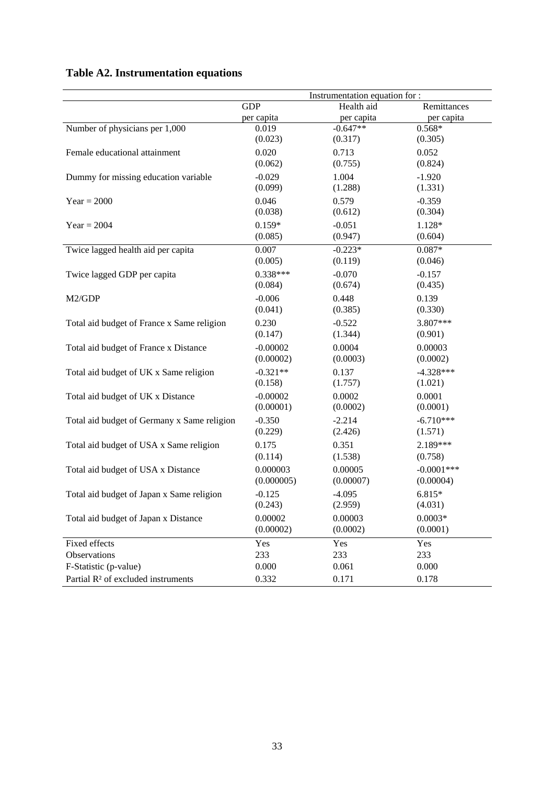## **Table A2. Instrumentation equations**

|                                                |            | Instrumentation equation for : |               |
|------------------------------------------------|------------|--------------------------------|---------------|
|                                                | <b>GDP</b> | Health aid                     | Remittances   |
|                                                | per capita | per capita                     | per capita    |
| Number of physicians per 1,000                 | 0.019      | $-0.647**$                     | $0.568*$      |
|                                                | (0.023)    | (0.317)                        | (0.305)       |
| Female educational attainment                  | 0.020      | 0.713                          | 0.052         |
|                                                | (0.062)    | (0.755)                        | (0.824)       |
| Dummy for missing education variable           | $-0.029$   | 1.004                          | $-1.920$      |
|                                                | (0.099)    | (1.288)                        | (1.331)       |
| $Year = 2000$                                  | 0.046      | 0.579                          | $-0.359$      |
|                                                | (0.038)    | (0.612)                        | (0.304)       |
| $Year = 2004$                                  | $0.159*$   | $-0.051$                       | 1.128*        |
|                                                | (0.085)    | (0.947)                        | (0.604)       |
| Twice lagged health aid per capita             | 0.007      | $-0.223*$                      | $0.087*$      |
|                                                | (0.005)    | (0.119)                        | (0.046)       |
| Twice lagged GDP per capita                    | $0.338***$ | $-0.070$                       | $-0.157$      |
|                                                | (0.084)    | (0.674)                        | (0.435)       |
| M2/GDP                                         | $-0.006$   | 0.448                          | 0.139         |
|                                                | (0.041)    | (0.385)                        | (0.330)       |
| Total aid budget of France x Same religion     | 0.230      | $-0.522$                       | 3.807***      |
|                                                | (0.147)    | (1.344)                        | (0.901)       |
| Total aid budget of France x Distance          | $-0.00002$ | 0.0004                         | 0.00003       |
|                                                | (0.00002)  | (0.0003)                       | (0.0002)      |
| Total aid budget of UK x Same religion         | $-0.321**$ | 0.137                          | $-4.328***$   |
|                                                | (0.158)    | (1.757)                        | (1.021)       |
| Total aid budget of UK x Distance              | $-0.00002$ | 0.0002                         | 0.0001        |
|                                                | (0.00001)  | (0.0002)                       | (0.0001)      |
| Total aid budget of Germany x Same religion    | $-0.350$   | $-2.214$                       | $-6.710***$   |
|                                                | (0.229)    | (2.426)                        | (1.571)       |
| Total aid budget of USA x Same religion        | 0.175      | 0.351                          | 2.189***      |
|                                                | (0.114)    | (1.538)                        | (0.758)       |
| Total aid budget of USA x Distance             | 0.000003   | 0.00005                        | $-0.0001$ *** |
|                                                | (0.000005) | (0.00007)                      | (0.00004)     |
| Total aid budget of Japan x Same religion      | $-0.125$   | $-4.095$                       | 6.815*        |
|                                                | (0.243)    | (2.959)                        | (4.031)       |
| Total aid budget of Japan x Distance           | 0.00002    | 0.00003                        | $0.0003*$     |
|                                                | (0.00002)  | (0.0002)                       | (0.0001)      |
| Fixed effects                                  | Yes        | Yes                            | Yes           |
| Observations                                   | 233        | 233                            | 233           |
| F-Statistic (p-value)                          | 0.000      | 0.061                          | 0.000         |
| Partial R <sup>2</sup> of excluded instruments | 0.332      | 0.171                          | 0.178         |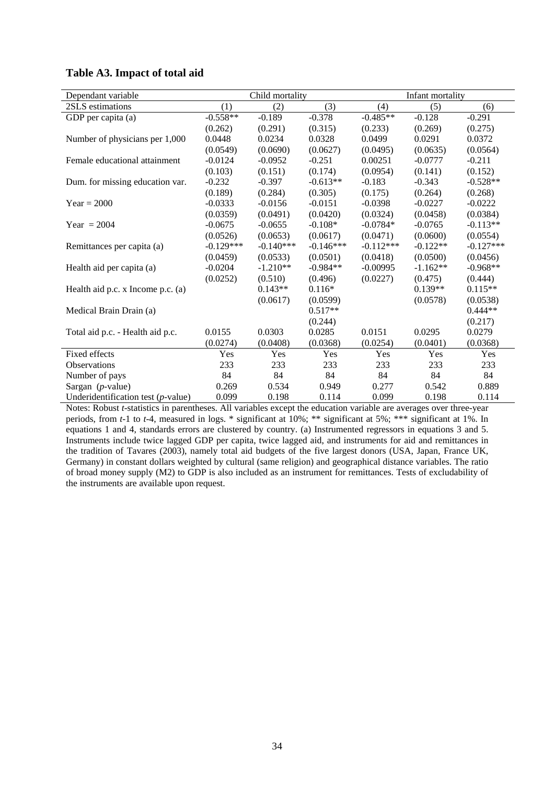#### **Table A3. Impact of total aid**

| Dependant variable                    | Child mortality |             |             | Infant mortality |            |             |
|---------------------------------------|-----------------|-------------|-------------|------------------|------------|-------------|
| 2SLS estimations                      | (1)             | (2)         | (3)         | (4)              | (5)        | (6)         |
| GDP per capita (a)                    | $-0.558**$      | $-0.189$    | $-0.378$    | $-0.485**$       | $-0.128$   | $-0.291$    |
|                                       | (0.262)         | (0.291)     | (0.315)     | (0.233)          | (0.269)    | (0.275)     |
| Number of physicians per 1,000        | 0.0448          | 0.0234      | 0.0328      | 0.0499           | 0.0291     | 0.0372      |
|                                       | (0.0549)        | (0.0690)    | (0.0627)    | (0.0495)         | (0.0635)   | (0.0564)    |
| Female educational attainment         | $-0.0124$       | $-0.0952$   | $-0.251$    | 0.00251          | $-0.0777$  | $-0.211$    |
|                                       | (0.103)         | (0.151)     | (0.174)     | (0.0954)         | (0.141)    | (0.152)     |
| Dum. for missing education var.       | $-0.232$        | $-0.397$    | $-0.613**$  | $-0.183$         | $-0.343$   | $-0.528**$  |
|                                       | (0.189)         | (0.284)     | (0.305)     | (0.175)          | (0.264)    | (0.268)     |
| $Year = 2000$                         | $-0.0333$       | $-0.0156$   | $-0.0151$   | $-0.0398$        | $-0.0227$  | $-0.0222$   |
|                                       | (0.0359)        | (0.0491)    | (0.0420)    | (0.0324)         | (0.0458)   | (0.0384)    |
| Year = $2004$                         | $-0.0675$       | $-0.0655$   | $-0.108*$   | $-0.0784*$       | $-0.0765$  | $-0.113**$  |
|                                       | (0.0526)        | (0.0653)    | (0.0617)    | (0.0471)         | (0.0600)   | (0.0554)    |
| Remittances per capita (a)            | $-0.129***$     | $-0.140***$ | $-0.146***$ | $-0.112***$      | $-0.122**$ | $-0.127***$ |
|                                       | (0.0459)        | (0.0533)    | (0.0501)    | (0.0418)         | (0.0500)   | (0.0456)    |
| Health aid per capita (a)             | $-0.0204$       | $-1.210**$  | $-0.984**$  | $-0.00995$       | $-1.162**$ | $-0.968**$  |
|                                       | (0.0252)        | (0.510)     | (0.496)     | (0.0227)         | (0.475)    | (0.444)     |
| Health aid p.c. x Income p.c. (a)     |                 | $0.143**$   | $0.116*$    |                  | $0.139**$  | $0.115**$   |
|                                       |                 | (0.0617)    | (0.0599)    |                  | (0.0578)   | (0.0538)    |
| Medical Brain Drain (a)               |                 |             | $0.517**$   |                  |            | $0.444**$   |
|                                       |                 |             | (0.244)     |                  |            | (0.217)     |
| Total aid p.c. - Health aid p.c.      | 0.0155          | 0.0303      | 0.0285      | 0.0151           | 0.0295     | 0.0279      |
|                                       | (0.0274)        | (0.0408)    | (0.0368)    | (0.0254)         | (0.0401)   | (0.0368)    |
| Fixed effects                         | Yes             | Yes         | Yes         | Yes              | Yes        | Yes         |
| Observations                          | 233             | 233         | 233         | 233              | 233        | 233         |
| Number of pays                        | 84              | 84          | 84          | 84               | 84         | 84          |
| Sargan $(p$ -value)                   | 0.269           | 0.534       | 0.949       | 0.277            | 0.542      | 0.889       |
| Underidentification test $(p$ -value) | 0.099           | 0.198       | 0.114       | 0.099            | 0.198      | 0.114       |

Notes: Robust *t*-statistics in parentheses. All variables except the education variable are averages over three-year periods, from *t*-1 to *t*-4, measured in logs. \* significant at 10%; \*\* significant at 5%; \*\*\* significant at 1%. In equations 1 and 4, standards errors are clustered by country. (a) Instrumented regressors in equations 3 and 5. Instruments include twice lagged GDP per capita, twice lagged aid, and instruments for aid and remittances in the tradition of Tavares (2003), namely total aid budgets of the five largest donors (USA, Japan, France UK, Germany) in constant dollars weighted by cultural (same religion) and geographical distance variables. The ratio of broad money supply (M2) to GDP is also included as an instrument for remittances. Tests of excludability of the instruments are available upon request.